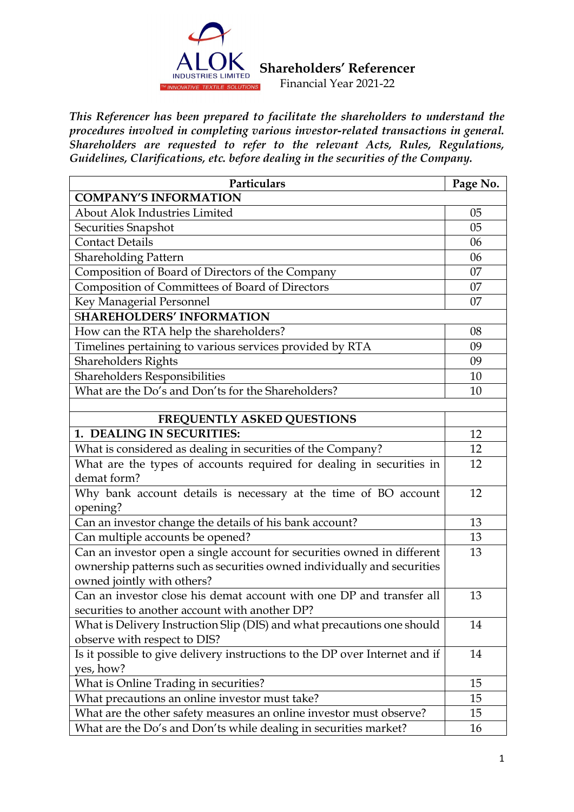

*This Referencer has been prepared to facilitate the shareholders to understand the procedures involved in completing various investor-related transactions in general. Shareholders are requested to refer to the relevant Acts, Rules, Regulations, Guidelines, Clarifications, etc. before dealing in the securities of the Company.*

| Particulars                                                                 | Page No. |
|-----------------------------------------------------------------------------|----------|
| <b>COMPANY'S INFORMATION</b>                                                |          |
| <b>About Alok Industries Limited</b>                                        | 05       |
| Securities Snapshot                                                         | 05       |
| <b>Contact Details</b>                                                      | 06       |
| <b>Shareholding Pattern</b>                                                 | 06       |
| Composition of Board of Directors of the Company                            | 07       |
| Composition of Committees of Board of Directors                             | 07       |
| Key Managerial Personnel                                                    | 07       |
| <b>SHAREHOLDERS' INFORMATION</b>                                            |          |
| How can the RTA help the shareholders?                                      | 08       |
| Timelines pertaining to various services provided by RTA                    | 09       |
| <b>Shareholders Rights</b>                                                  | 09       |
| Shareholders Responsibilities                                               | 10       |
| What are the Do's and Don'ts for the Shareholders?                          | 10       |
|                                                                             |          |
| FREQUENTLY ASKED QUESTIONS                                                  |          |
| 1. DEALING IN SECURITIES:                                                   | 12       |
| What is considered as dealing in securities of the Company?                 | 12       |
| What are the types of accounts required for dealing in securities in        | 12       |
| demat form?                                                                 | 12       |
| Why bank account details is necessary at the time of BO account             |          |
| opening?                                                                    |          |
| Can an investor change the details of his bank account?                     | 13       |
| Can multiple accounts be opened?                                            | 13       |
| Can an investor open a single account for securities owned in different     | 13       |
| ownership patterns such as securities owned individually and securities     |          |
| owned jointly with others?                                                  |          |
| Can an investor close his demat account with one DP and transfer all        | 13       |
| securities to another account with another DP?                              |          |
| What is Delivery Instruction Slip (DIS) and what precautions one should     | 14       |
| observe with respect to DIS?                                                |          |
| Is it possible to give delivery instructions to the DP over Internet and if | 14       |
| yes, how?                                                                   |          |
| What is Online Trading in securities?                                       | 15       |
| What precautions an online investor must take?                              | 15       |
| What are the other safety measures an online investor must observe?         | 15       |
| What are the Do's and Don'ts while dealing in securities market?            | 16       |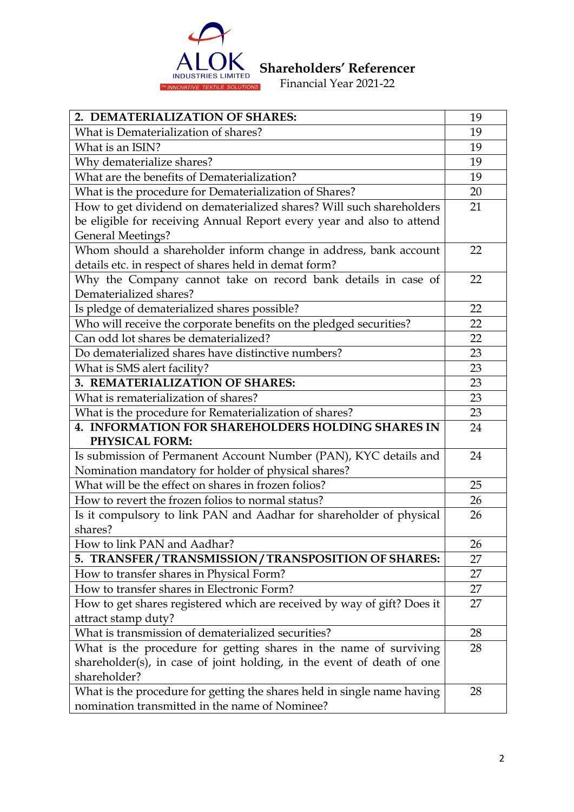

| 2. DEMATERIALIZATION OF SHARES:                                            | 19 |
|----------------------------------------------------------------------------|----|
| What is Dematerialization of shares?                                       | 19 |
| What is an ISIN?                                                           | 19 |
| Why dematerialize shares?                                                  | 19 |
| What are the benefits of Dematerialization?                                | 19 |
| What is the procedure for Dematerialization of Shares?                     | 20 |
| How to get dividend on dematerialized shares? Will such shareholders       | 21 |
| be eligible for receiving Annual Report every year and also to attend      |    |
| <b>General Meetings?</b>                                                   |    |
| Whom should a shareholder inform change in address, bank account           | 22 |
| details etc. in respect of shares held in demat form?                      |    |
| Why the Company cannot take on record bank details in case of              | 22 |
| Dematerialized shares?                                                     |    |
| Is pledge of dematerialized shares possible?                               | 22 |
| Who will receive the corporate benefits on the pledged securities?         | 22 |
| Can odd lot shares be dematerialized?                                      | 22 |
| Do dematerialized shares have distinctive numbers?                         | 23 |
| What is SMS alert facility?                                                | 23 |
| 3. REMATERIALIZATION OF SHARES:                                            | 23 |
| What is rematerialization of shares?                                       | 23 |
| What is the procedure for Rematerialization of shares?                     | 23 |
| <b>4. INFORMATION FOR SHAREHOLDERS HOLDING SHARES IN</b><br>PHYSICAL FORM: | 24 |
| Is submission of Permanent Account Number (PAN), KYC details and           | 24 |
| Nomination mandatory for holder of physical shares?                        |    |
| What will be the effect on shares in frozen folios?                        | 25 |
| How to revert the frozen folios to normal status?                          | 26 |
| Is it compulsory to link PAN and Aadhar for shareholder of physical        | 26 |
| shares?                                                                    |    |
| How to link PAN and Aadhar?                                                | 26 |
| 5. TRANSFER/TRANSMISSION/TRANSPOSITION OF SHARES:                          | 27 |
| How to transfer shares in Physical Form?                                   | 27 |
| How to transfer shares in Electronic Form?                                 | 27 |
| How to get shares registered which are received by way of gift? Does it    | 27 |
| attract stamp duty?                                                        |    |
| What is transmission of dematerialized securities?                         | 28 |
| What is the procedure for getting shares in the name of surviving          | 28 |
| shareholder(s), in case of joint holding, in the event of death of one     |    |
| shareholder?                                                               |    |
| What is the procedure for getting the shares held in single name having    | 28 |
| nomination transmitted in the name of Nominee?                             |    |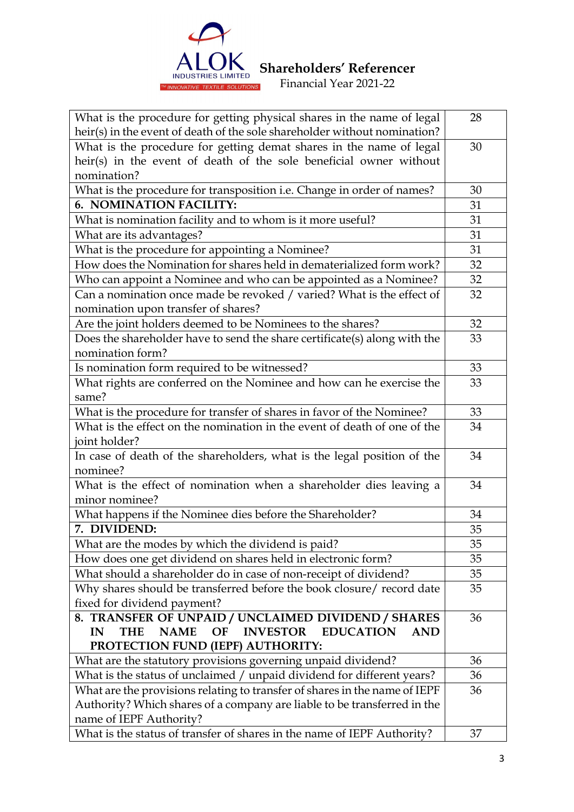

| What is the procedure for getting physical shares in the name of legal                     |    |  |  |
|--------------------------------------------------------------------------------------------|----|--|--|
| heir(s) in the event of death of the sole shareholder without nomination?                  |    |  |  |
| What is the procedure for getting demat shares in the name of legal                        | 30 |  |  |
| heir(s) in the event of death of the sole beneficial owner without                         |    |  |  |
| nomination?                                                                                |    |  |  |
| What is the procedure for transposition i.e. Change in order of names?                     | 30 |  |  |
| 6. NOMINATION FACILITY:                                                                    | 31 |  |  |
| What is nomination facility and to whom is it more useful?                                 | 31 |  |  |
| What are its advantages?                                                                   | 31 |  |  |
| What is the procedure for appointing a Nominee?                                            | 31 |  |  |
| How does the Nomination for shares held in dematerialized form work?                       | 32 |  |  |
| Who can appoint a Nominee and who can be appointed as a Nominee?                           | 32 |  |  |
| Can a nomination once made be revoked / varied? What is the effect of                      | 32 |  |  |
| nomination upon transfer of shares?                                                        |    |  |  |
| Are the joint holders deemed to be Nominees to the shares?                                 | 32 |  |  |
| Does the shareholder have to send the share certificate(s) along with the                  | 33 |  |  |
| nomination form?                                                                           |    |  |  |
| Is nomination form required to be witnessed?                                               | 33 |  |  |
| What rights are conferred on the Nominee and how can he exercise the                       | 33 |  |  |
| same?                                                                                      |    |  |  |
| What is the procedure for transfer of shares in favor of the Nominee?                      | 33 |  |  |
| What is the effect on the nomination in the event of death of one of the                   | 34 |  |  |
| joint holder?                                                                              |    |  |  |
| In case of death of the shareholders, what is the legal position of the                    | 34 |  |  |
| nominee?                                                                                   |    |  |  |
| What is the effect of nomination when a shareholder dies leaving a                         | 34 |  |  |
| minor nominee?                                                                             |    |  |  |
| What happens if the Nominee dies before the Shareholder?                                   | 34 |  |  |
| 7. DIVIDEND:                                                                               | 35 |  |  |
| What are the modes by which the dividend is paid?                                          | 35 |  |  |
| How does one get dividend on shares held in electronic form?                               | 35 |  |  |
| What should a shareholder do in case of non-receipt of dividend?                           | 35 |  |  |
| Why shares should be transferred before the book closure/ record date                      | 35 |  |  |
| fixed for dividend payment?                                                                |    |  |  |
| 8. TRANSFER OF UNPAID / UNCLAIMED DIVIDEND / SHARES                                        | 36 |  |  |
| <b>INVESTOR</b><br><b>EDUCATION</b><br><b>NAME</b><br>OF<br><b>THE</b><br><b>AND</b><br>IN |    |  |  |
| PROTECTION FUND (IEPF) AUTHORITY:                                                          |    |  |  |
| What are the statutory provisions governing unpaid dividend?                               | 36 |  |  |
| What is the status of unclaimed / unpaid dividend for different years?                     | 36 |  |  |
| What are the provisions relating to transfer of shares in the name of IEPF                 | 36 |  |  |
| Authority? Which shares of a company are liable to be transferred in the                   |    |  |  |
| name of IEPF Authority?                                                                    |    |  |  |
| What is the status of transfer of shares in the name of IEPF Authority?                    | 37 |  |  |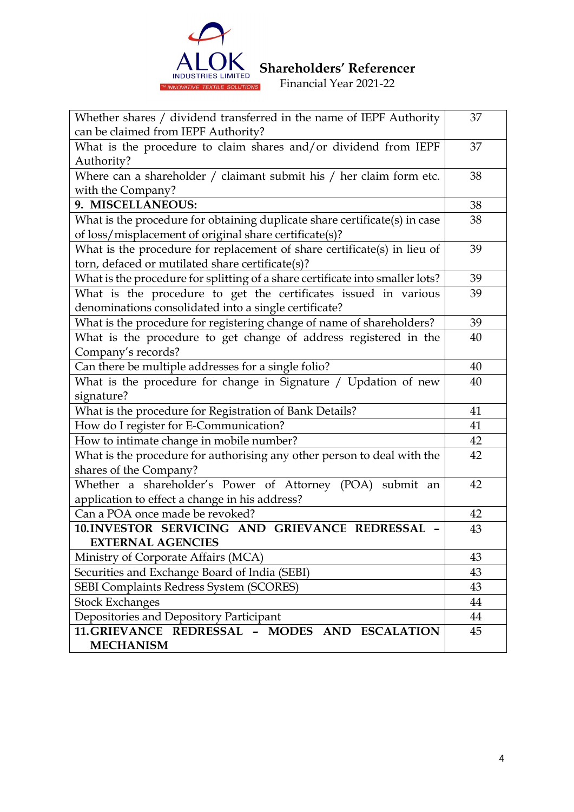

| Whether shares / dividend transferred in the name of IEPF Authority           | 37 |
|-------------------------------------------------------------------------------|----|
| can be claimed from IEPF Authority?                                           |    |
| What is the procedure to claim shares and/or dividend from IEPF               | 37 |
| Authority?                                                                    |    |
| Where can a shareholder $/$ claimant submit his $/$ her claim form etc.       | 38 |
| with the Company?                                                             |    |
| 9. MISCELLANEOUS:                                                             | 38 |
| What is the procedure for obtaining duplicate share certificate(s) in case    | 38 |
| of loss/misplacement of original share certificate(s)?                        |    |
| What is the procedure for replacement of share certificate(s) in lieu of      | 39 |
| torn, defaced or mutilated share certificate(s)?                              |    |
| What is the procedure for splitting of a share certificate into smaller lots? | 39 |
| What is the procedure to get the certificates issued in various               | 39 |
| denominations consolidated into a single certificate?                         |    |
| What is the procedure for registering change of name of shareholders?         | 39 |
| What is the procedure to get change of address registered in the              | 40 |
| Company's records?                                                            |    |
| Can there be multiple addresses for a single folio?                           | 40 |
| What is the procedure for change in Signature / Updation of new               | 40 |
| signature?                                                                    |    |
| What is the procedure for Registration of Bank Details?                       | 41 |
| How do I register for E-Communication?                                        | 41 |
| How to intimate change in mobile number?                                      | 42 |
| What is the procedure for authorising any other person to deal with the       | 42 |
| shares of the Company?                                                        |    |
| Whether a shareholder's Power of Attorney (POA) submit an                     | 42 |
| application to effect a change in his address?                                |    |
| Can a POA once made be revoked?                                               | 42 |
| 10. INVESTOR SERVICING AND GRIEVANCE REDRESSAL -                              | 43 |
| <b>EXTERNAL AGENCIES</b>                                                      |    |
| Ministry of Corporate Affairs (MCA)                                           | 43 |
| Securities and Exchange Board of India (SEBI)                                 | 43 |
| SEBI Complaints Redress System (SCORES)                                       | 43 |
| <b>Stock Exchanges</b>                                                        | 44 |
| Depositories and Depository Participant                                       | 44 |
| 11.GRIEVANCE REDRESSAL - MODES AND ESCALATION                                 | 45 |
| <b>MECHANISM</b>                                                              |    |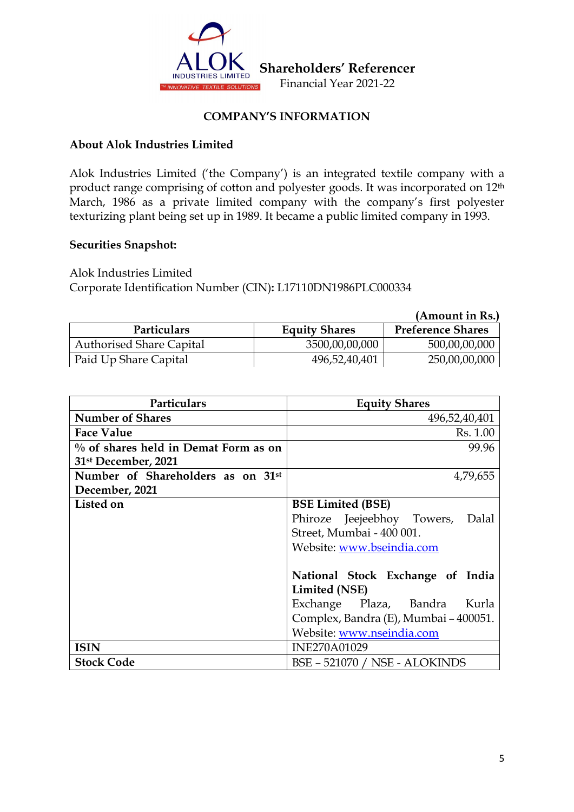

## **COMPANY'S INFORMATION**

## **About Alok Industries Limited**

Alok Industries Limited ('the Company') is an integrated textile company with a product range comprising of cotton and polyester goods. It was incorporated on 12th March, 1986 as a private limited company with the company's first polyester texturizing plant being set up in 1989. It became a public limited company in 1993.

#### **Securities Snapshot:**

Alok Industries Limited Corporate Identification Number (CIN)**:** L17110DN1986PLC000334

|                                 |                      | (Amount in Rs.)          |
|---------------------------------|----------------------|--------------------------|
| <b>Particulars</b>              | <b>Equity Shares</b> | <b>Preference Shares</b> |
| <b>Authorised Share Capital</b> | 3500,00,00,000       | 500,00,00,000            |
| Paid Up Share Capital           | 496,52,40,401        | 250,00,00,000            |

| Particulars                             | <b>Equity Shares</b>                  |
|-----------------------------------------|---------------------------------------|
| <b>Number of Shares</b>                 | 496,52,40,401                         |
| <b>Face Value</b>                       | Rs. 1.00                              |
| $\%$ of shares held in Demat Form as on | 99.96                                 |
| 31 <sup>st</sup> December, 2021         |                                       |
| Number of Shareholders as on 31st       | 4,79,655                              |
| December, 2021                          |                                       |
| Listed on                               | <b>BSE Limited (BSE)</b>              |
|                                         | Phiroze Jeejeebhoy Towers, Dalal      |
|                                         | Street, Mumbai - 400 001.             |
|                                         | Website: www.bseindia.com             |
|                                         |                                       |
|                                         | National Stock Exchange of India      |
|                                         | Limited (NSE)                         |
|                                         | Exchange Plaza, Bandra Kurla          |
|                                         | Complex, Bandra (E), Mumbai - 400051. |
|                                         | Website: www.nseindia.com             |
| <b>ISIN</b>                             | <b>INE270A01029</b>                   |
| <b>Stock Code</b>                       | <b>BSE - 521070 / NSE - ALOKINDS</b>  |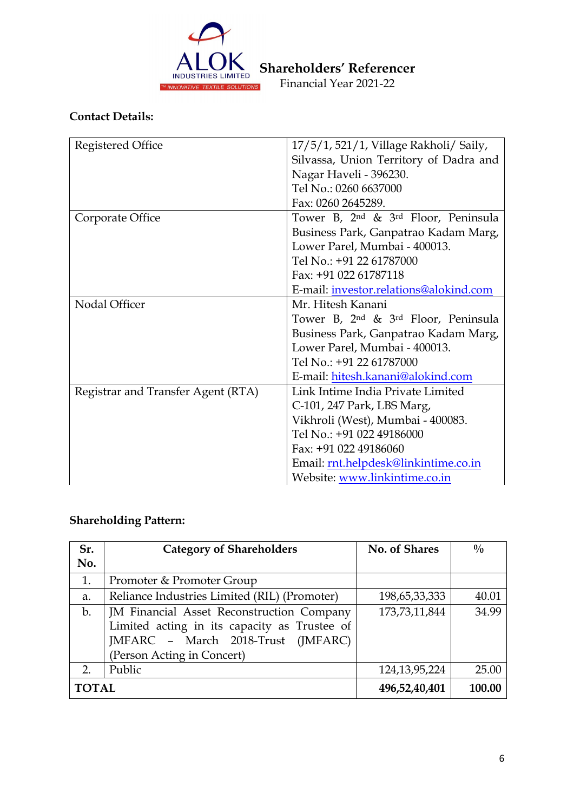

# **Contact Details:**

| Registered Office                  | 17/5/1, 521/1, Village Rakholi/ Saily,                      |  |
|------------------------------------|-------------------------------------------------------------|--|
|                                    | Silvassa, Union Territory of Dadra and                      |  |
|                                    | Nagar Haveli - 396230.                                      |  |
|                                    | Tel No.: 0260 6637000                                       |  |
|                                    | Fax: 0260 2645289.                                          |  |
| Corporate Office                   | Tower B, 2 <sup>nd</sup> & 3 <sup>rd</sup> Floor, Peninsula |  |
|                                    | Business Park, Ganpatrao Kadam Marg,                        |  |
|                                    | Lower Parel, Mumbai - 400013.                               |  |
|                                    | Tel No.: +91 22 61787000                                    |  |
|                                    | Fax: +91 022 61787118                                       |  |
|                                    | E-mail: investor.relations@alokind.com                      |  |
| Nodal Officer                      | Mr. Hitesh Kanani                                           |  |
|                                    | Tower B, 2 <sup>nd</sup> & 3 <sup>rd</sup> Floor, Peninsula |  |
|                                    | Business Park, Ganpatrao Kadam Marg,                        |  |
|                                    | Lower Parel, Mumbai - 400013.                               |  |
|                                    | Tel No.: +91 22 61787000                                    |  |
|                                    | E-mail: hitesh.kanani@alokind.com                           |  |
| Registrar and Transfer Agent (RTA) | Link Intime India Private Limited                           |  |
|                                    | C-101, 247 Park, LBS Marg,                                  |  |
|                                    | Vikhroli (West), Mumbai - 400083.                           |  |
|                                    | Tel No.: +91 022 49186000                                   |  |
|                                    | Fax: +91 022 49186060                                       |  |
|                                    | Email: rnt.helpdesk@linkintime.co.in                        |  |
|                                    | Website: www.linkintime.co.in                               |  |

# **Shareholding Pattern:**

| Sr.            | <b>Category of Shareholders</b>              | No. of Shares    | $\frac{0}{0}$ |
|----------------|----------------------------------------------|------------------|---------------|
| No.            |                                              |                  |               |
| 1.             | Promoter & Promoter Group                    |                  |               |
| a.             | Reliance Industries Limited (RIL) (Promoter) | 198,65,33,333    | 40.01         |
| $\mathbf{b}$ . | JM Financial Asset Reconstruction Company    | 173,73,11,844    | 34.99         |
|                | Limited acting in its capacity as Trustee of |                  |               |
|                | JMFARC - March 2018-Trust (JMFARC)           |                  |               |
|                | (Person Acting in Concert)                   |                  |               |
| 2.             | Public                                       | 124, 13, 95, 224 | 25.00         |
| <b>TOTAL</b>   |                                              | 496,52,40,401    | 100.00        |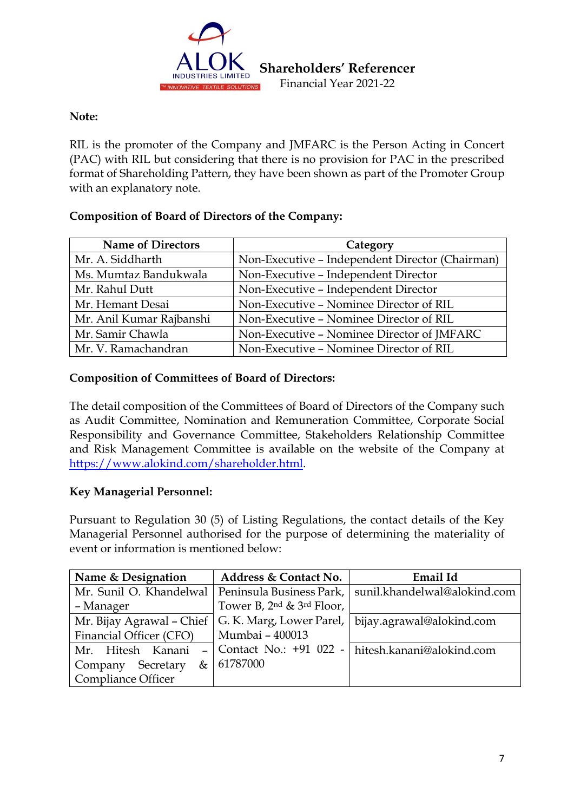

## **Note:**

RIL is the promoter of the Company and JMFARC is the Person Acting in Concert (PAC) with RIL but considering that there is no provision for PAC in the prescribed format of Shareholding Pattern, they have been shown as part of the Promoter Group with an explanatory note.

# **Composition of Board of Directors of the Company:**

| <b>Name of Directors</b> | Category                                        |
|--------------------------|-------------------------------------------------|
| Mr. A. Siddharth         | Non-Executive - Independent Director (Chairman) |
| Ms. Mumtaz Bandukwala    | Non-Executive - Independent Director            |
| Mr. Rahul Dutt           | Non-Executive - Independent Director            |
| Mr. Hemant Desai         | Non-Executive - Nominee Director of RIL         |
| Mr. Anil Kumar Rajbanshi | Non-Executive - Nominee Director of RIL         |
| Mr. Samir Chawla         | Non-Executive - Nominee Director of JMFARC      |
| Mr. V. Ramachandran      | Non-Executive - Nominee Director of RIL         |

# **Composition of Committees of Board of Directors:**

The detail composition of the Committees of Board of Directors of the Company such as Audit Committee, Nomination and Remuneration Committee, Corporate Social Responsibility and Governance Committee, Stakeholders Relationship Committee and Risk Management Committee is available on the website of the Company at https://www.alokind.com/shareholder.html.

# **Key Managerial Personnel:**

Pursuant to Regulation 30 (5) of Listing Regulations, the contact details of the Key Managerial Personnel authorised for the purpose of determining the materiality of event or information is mentioned below:

| Name & Designation                  | Address & Contact No.               | Email Id                                                                          |
|-------------------------------------|-------------------------------------|-----------------------------------------------------------------------------------|
|                                     |                                     | Mr. Sunil O. Khandelwal   Peninsula Business Park,   sunil.khandelwal@alokind.com |
| – Manager                           | Tower B, $2^{nd}$ & $3^{rd}$ Floor, |                                                                                   |
|                                     |                                     | Mr. Bijay Agrawal - Chief   G. K. Marg, Lower Parel,   bijay.agrawal@alokind.com  |
| Financial Officer (CFO)             | Mumbai - 400013                     |                                                                                   |
| Mr. Hitesh Kanani<br>$\overline{a}$ |                                     | Contact No.: +91 022 - hitesh.kanani@alokind.com                                  |
| Company Secretary<br>&              | 61787000                            |                                                                                   |
| Compliance Officer                  |                                     |                                                                                   |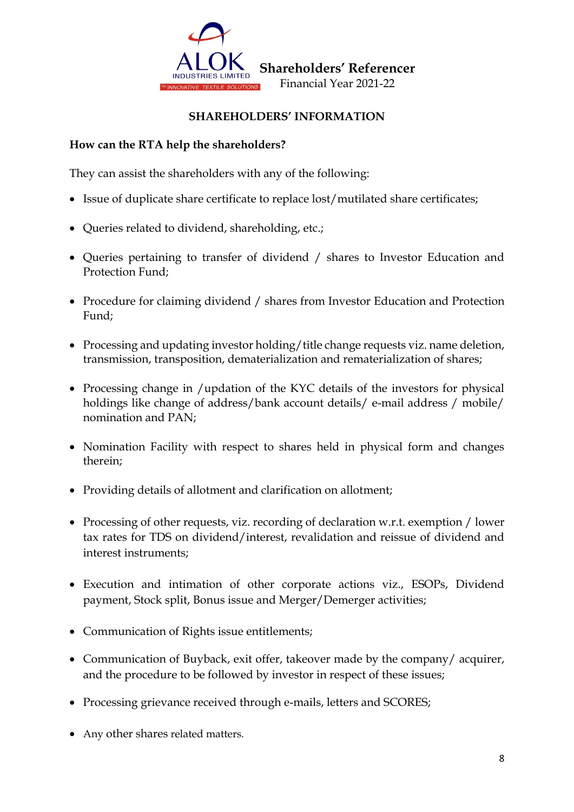

# **SHAREHOLDERS' INFORMATION**

# **How can the RTA help the shareholders?**

They can assist the shareholders with any of the following:

- Issue of duplicate share certificate to replace lost/mutilated share certificates;
- Queries related to dividend, shareholding, etc.;
- Queries pertaining to transfer of dividend / shares to Investor Education and Protection Fund;
- Procedure for claiming dividend / shares from Investor Education and Protection Fund;
- Processing and updating investor holding/title change requests viz. name deletion, transmission, transposition, dematerialization and rematerialization of shares;
- Processing change in /updation of the KYC details of the investors for physical holdings like change of address/bank account details/ e-mail address / mobile/ nomination and PAN;
- Nomination Facility with respect to shares held in physical form and changes therein;
- Providing details of allotment and clarification on allotment;
- Processing of other requests, viz. recording of declaration w.r.t. exemption / lower tax rates for TDS on dividend/interest, revalidation and reissue of dividend and interest instruments;
- Execution and intimation of other corporate actions viz., ESOPs, Dividend payment, Stock split, Bonus issue and Merger/Demerger activities;
- Communication of Rights issue entitlements;
- Communication of Buyback, exit offer, takeover made by the company/ acquirer, and the procedure to be followed by investor in respect of these issues;
- Processing grievance received through e-mails, letters and SCORES;
- Any other shares related matters.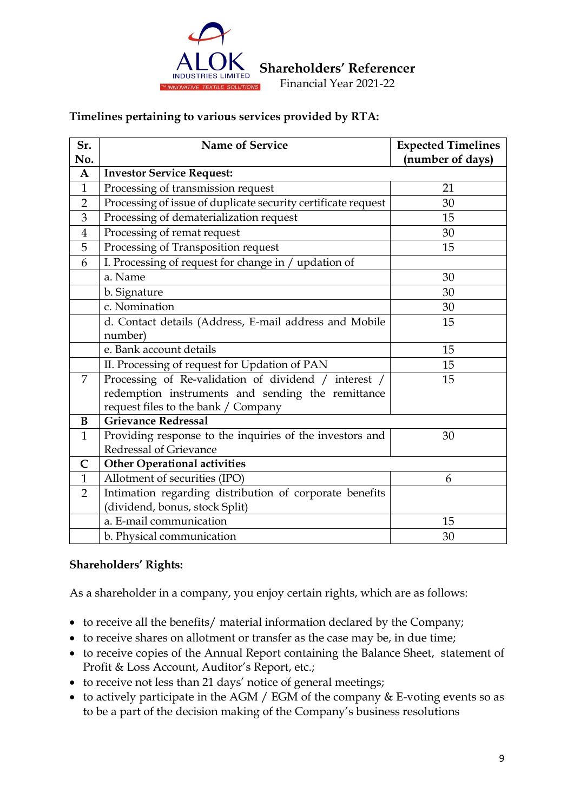

 **Shareholders' Referencer** 

Financial Year 2021-22

## **Timelines pertaining to various services provided by RTA:**

| Sr.            | Name of Service                                               | <b>Expected Timelines</b> |
|----------------|---------------------------------------------------------------|---------------------------|
| No.            |                                                               | (number of days)          |
| $\mathbf A$    | <b>Investor Service Request:</b>                              |                           |
| $\mathbf{1}$   | Processing of transmission request                            | 21                        |
| $\overline{2}$ | Processing of issue of duplicate security certificate request | 30                        |
| 3              | Processing of dematerialization request                       | 15                        |
| $\overline{4}$ | Processing of remat request                                   | 30                        |
| 5              | Processing of Transposition request                           | 15                        |
| 6              | I. Processing of request for change in / updation of          |                           |
|                | a. Name                                                       | 30                        |
|                | b. Signature                                                  | 30                        |
|                | c. Nomination                                                 | 30                        |
|                | d. Contact details (Address, E-mail address and Mobile        | 15                        |
|                | number)                                                       |                           |
|                | e. Bank account details                                       | 15                        |
|                | II. Processing of request for Updation of PAN                 | 15                        |
| 7              | Processing of Re-validation of dividend / interest /          | 15                        |
|                | redemption instruments and sending the remittance             |                           |
|                | request files to the bank / Company                           |                           |
| B              | <b>Grievance Redressal</b>                                    |                           |
| $\mathbf{1}$   | Providing response to the inquiries of the investors and      | 30                        |
|                | Redressal of Grievance                                        |                           |
| $\mathbf C$    | <b>Other Operational activities</b>                           |                           |
| $\mathbf{1}$   | Allotment of securities (IPO)                                 | 6                         |
| $\overline{2}$ | Intimation regarding distribution of corporate benefits       |                           |
|                | (dividend, bonus, stock Split)                                |                           |
|                | a. E-mail communication                                       | 15                        |
|                | b. Physical communication                                     | 30                        |

## **Shareholders' Rights:**

As a shareholder in a company, you enjoy certain rights, which are as follows:

- to receive all the benefits/ material information declared by the Company;
- to receive shares on allotment or transfer as the case may be, in due time;
- to receive copies of the Annual Report containing the Balance Sheet, statement of Profit & Loss Account, Auditor's Report, etc.;
- to receive not less than 21 days' notice of general meetings;
- to actively participate in the AGM / EGM of the company & E-voting events so as to be a part of the decision making of the Company's business resolutions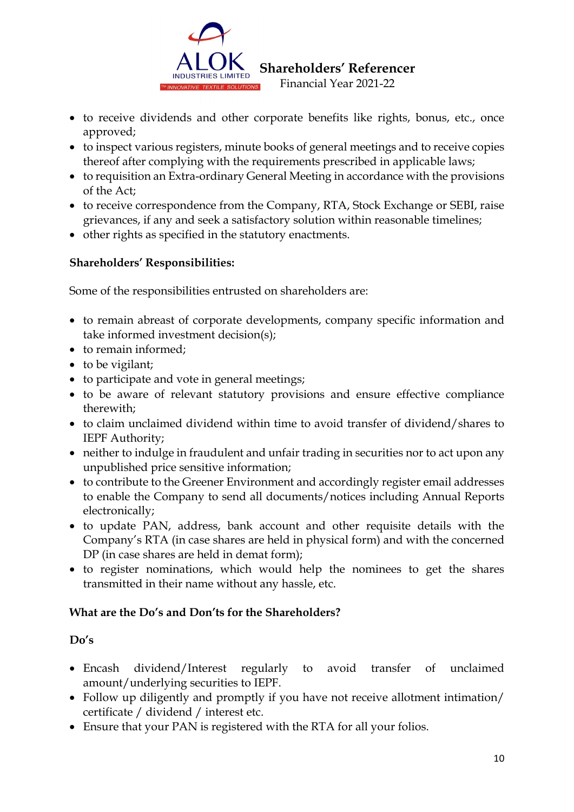

- to receive dividends and other corporate benefits like rights, bonus, etc., once approved;
- to inspect various registers, minute books of general meetings and to receive copies thereof after complying with the requirements prescribed in applicable laws;
- to requisition an Extra-ordinary General Meeting in accordance with the provisions of the Act;
- to receive correspondence from the Company, RTA, Stock Exchange or SEBI, raise grievances, if any and seek a satisfactory solution within reasonable timelines;
- other rights as specified in the statutory enactments.

# **Shareholders' Responsibilities:**

Some of the responsibilities entrusted on shareholders are:

- to remain abreast of corporate developments, company specific information and take informed investment decision(s);
- to remain informed:
- to be vigilant;
- to participate and vote in general meetings;
- to be aware of relevant statutory provisions and ensure effective compliance therewith;
- to claim unclaimed dividend within time to avoid transfer of dividend/shares to IEPF Authority;
- neither to indulge in fraudulent and unfair trading in securities nor to act upon any unpublished price sensitive information;
- to contribute to the Greener Environment and accordingly register email addresses to enable the Company to send all documents/notices including Annual Reports electronically;
- to update PAN, address, bank account and other requisite details with the Company's RTA (in case shares are held in physical form) and with the concerned DP (in case shares are held in demat form);
- to register nominations, which would help the nominees to get the shares transmitted in their name without any hassle, etc.

# **What are the Do's and Don'ts for the Shareholders?**

# **Do's**

- Encash dividend/Interest regularly to avoid transfer of unclaimed amount/underlying securities to IEPF.
- Follow up diligently and promptly if you have not receive allotment intimation/ certificate / dividend / interest etc.
- Ensure that your PAN is registered with the RTA for all your folios.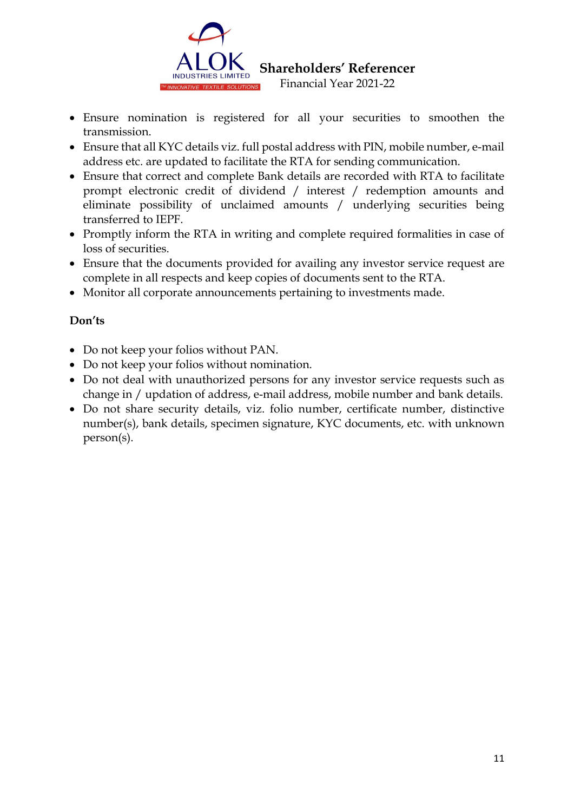

- Ensure nomination is registered for all your securities to smoothen the transmission.
- Ensure that all KYC details viz. full postal address with PIN, mobile number, e-mail address etc. are updated to facilitate the RTA for sending communication.
- Ensure that correct and complete Bank details are recorded with RTA to facilitate prompt electronic credit of dividend / interest / redemption amounts and eliminate possibility of unclaimed amounts / underlying securities being transferred to IEPF.
- Promptly inform the RTA in writing and complete required formalities in case of loss of securities.
- Ensure that the documents provided for availing any investor service request are complete in all respects and keep copies of documents sent to the RTA.
- Monitor all corporate announcements pertaining to investments made.

# **Don'ts**

- Do not keep your folios without PAN.
- Do not keep your folios without nomination.
- Do not deal with unauthorized persons for any investor service requests such as change in / updation of address, e-mail address, mobile number and bank details.
- Do not share security details, viz. folio number, certificate number, distinctive number(s), bank details, specimen signature, KYC documents, etc. with unknown person(s).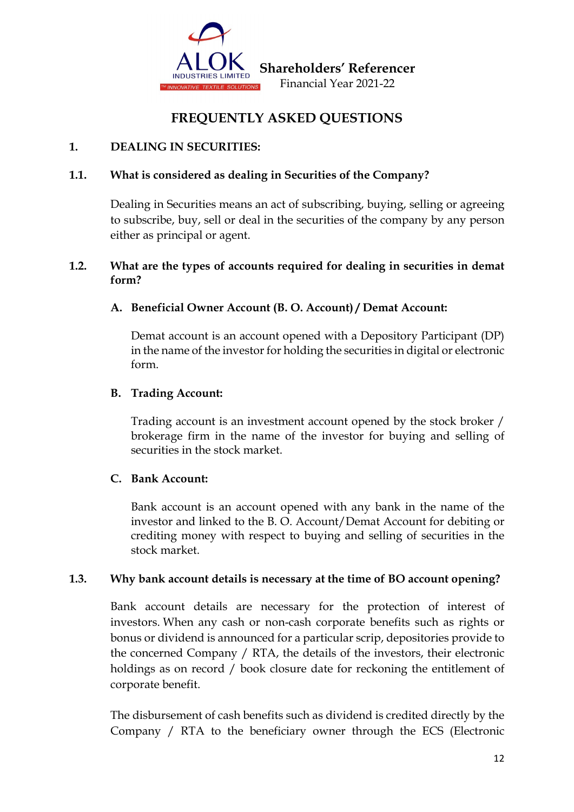

# **FREQUENTLY ASKED QUESTIONS**

# **1. DEALING IN SECURITIES:**

## **1.1. What is considered as dealing in Securities of the Company?**

Dealing in Securities means an act of subscribing, buying, selling or agreeing to subscribe, buy, sell or deal in the securities of the company by any person either as principal or agent.

# **1.2. What are the types of accounts required for dealing in securities in demat form?**

## **A. Beneficial Owner Account (B. O. Account) / Demat Account:**

Demat account is an account opened with a Depository Participant (DP) in the name of the investor for holding the securities in digital or electronic form.

## **B. Trading Account:**

Trading account is an investment account opened by the stock broker / brokerage firm in the name of the investor for buying and selling of securities in the stock market.

## **C. Bank Account:**

Bank account is an account opened with any bank in the name of the investor and linked to the B. O. Account/Demat Account for debiting or crediting money with respect to buying and selling of securities in the stock market.

## **1.3. Why bank account details is necessary at the time of BO account opening?**

Bank account details are necessary for the protection of interest of investors. When any cash or non-cash corporate benefits such as rights or bonus or dividend is announced for a particular scrip, depositories provide to the concerned Company / RTA, the details of the investors, their electronic holdings as on record / book closure date for reckoning the entitlement of corporate benefit.

The disbursement of cash benefits such as dividend is credited directly by the Company / RTA to the beneficiary owner through the ECS (Electronic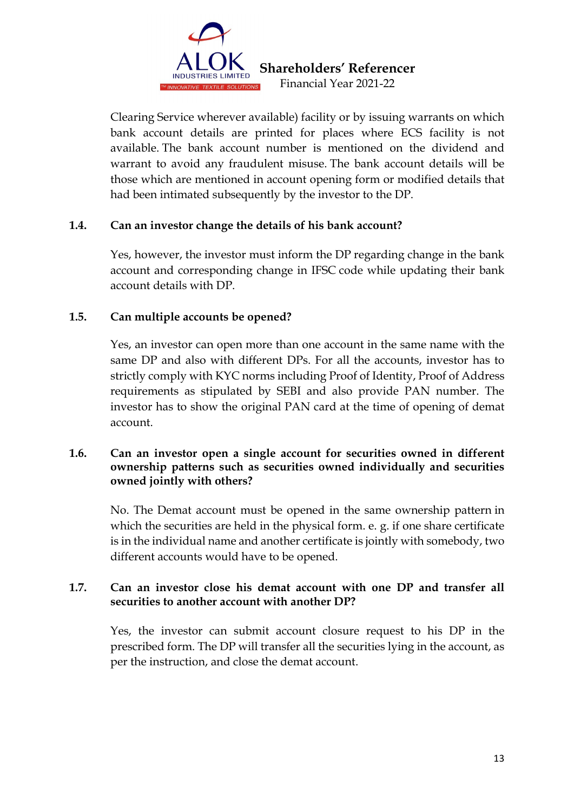

Clearing Service wherever available) facility or by issuing warrants on which bank account details are printed for places where ECS facility is not available. The bank account number is mentioned on the dividend and warrant to avoid any fraudulent misuse. The bank account details will be those which are mentioned in account opening form or modified details that had been intimated subsequently by the investor to the DP.

# **1.4. Can an investor change the details of his bank account?**

Yes, however, the investor must inform the DP regarding change in the bank account and corresponding change in IFSC code while updating their bank account details with DP.

## **1.5. Can multiple accounts be opened?**

Yes, an investor can open more than one account in the same name with the same DP and also with different DPs. For all the accounts, investor has to strictly comply with KYC norms including Proof of Identity, Proof of Address requirements as stipulated by SEBI and also provide PAN number. The investor has to show the original PAN card at the time of opening of demat account.

## **1.6. Can an investor open a single account for securities owned in different ownership patterns such as securities owned individually and securities owned jointly with others?**

No. The Demat account must be opened in the same ownership pattern in which the securities are held in the physical form. e. g. if one share certificate is in the individual name and another certificate is jointly with somebody, two different accounts would have to be opened.

## **1.7. Can an investor close his demat account with one DP and transfer all securities to another account with another DP?**

Yes, the investor can submit account closure request to his DP in the prescribed form. The DP will transfer all the securities lying in the account, as per the instruction, and close the demat account.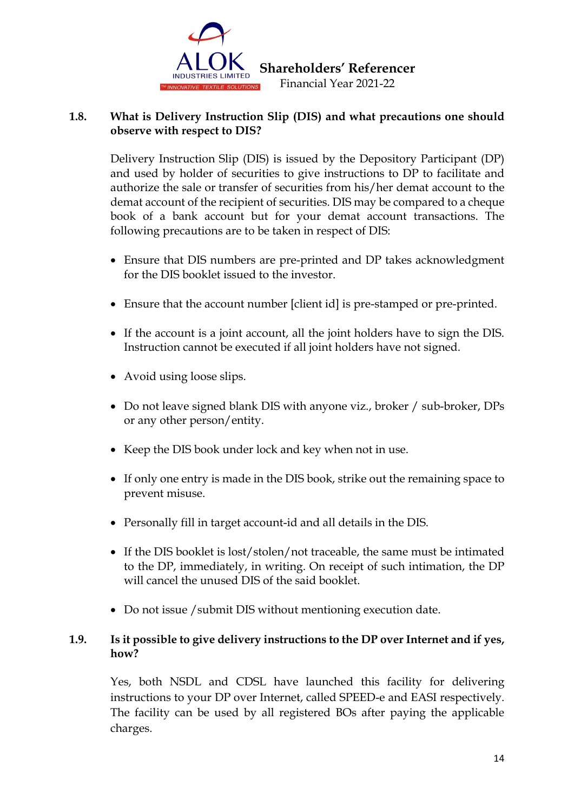

## **1.8. What is Delivery Instruction Slip (DIS) and what precautions one should observe with respect to DIS?**

Delivery Instruction Slip (DIS) is issued by the Depository Participant (DP) and used by holder of securities to give instructions to DP to facilitate and authorize the sale or transfer of securities from his/her demat account to the demat account of the recipient of securities. DIS may be compared to a cheque book of a bank account but for your demat account transactions. The following precautions are to be taken in respect of DIS:

- Ensure that DIS numbers are pre-printed and DP takes acknowledgment for the DIS booklet issued to the investor.
- Ensure that the account number [client id] is pre-stamped or pre-printed.
- If the account is a joint account, all the joint holders have to sign the DIS. Instruction cannot be executed if all joint holders have not signed.
- Avoid using loose slips.
- Do not leave signed blank DIS with anyone viz., broker / sub-broker, DPs or any other person/entity.
- Keep the DIS book under lock and key when not in use.
- If only one entry is made in the DIS book, strike out the remaining space to prevent misuse.
- Personally fill in target account-id and all details in the DIS.
- If the DIS booklet is lost/stolen/not traceable, the same must be intimated to the DP, immediately, in writing. On receipt of such intimation, the DP will cancel the unused DIS of the said booklet.
- Do not issue / submit DIS without mentioning execution date.

# **1.9. Is it possible to give delivery instructions to the DP over Internet and if yes, how?**

Yes, both NSDL and CDSL have launched this facility for delivering instructions to your DP over Internet, called SPEED-e and EASI respectively. The facility can be used by all registered BOs after paying the applicable charges.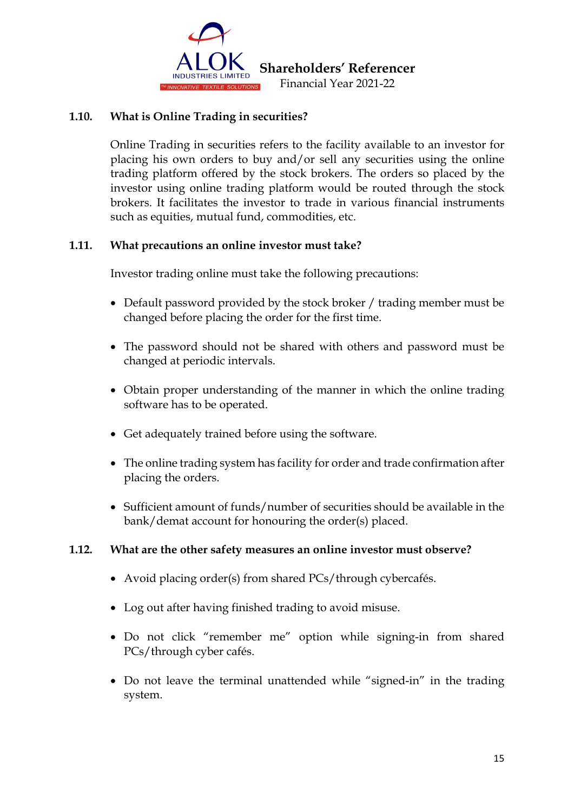

## **1.10. What is Online Trading in securities?**

Online Trading in securities refers to the facility available to an investor for placing his own orders to buy and/or sell any securities using the online trading platform offered by the stock brokers. The orders so placed by the investor using online trading platform would be routed through the stock brokers. It facilitates the investor to trade in various financial instruments such as equities, mutual fund, commodities, etc.

## **1.11. What precautions an online investor must take?**

Investor trading online must take the following precautions:

- Default password provided by the stock broker / trading member must be changed before placing the order for the first time.
- The password should not be shared with others and password must be changed at periodic intervals.
- Obtain proper understanding of the manner in which the online trading software has to be operated.
- Get adequately trained before using the software.
- The online trading system has facility for order and trade confirmation after placing the orders.
- Sufficient amount of funds/number of securities should be available in the bank/demat account for honouring the order(s) placed.

## **1.12. What are the other safety measures an online investor must observe?**

- Avoid placing order(s) from shared PCs/through cybercafés.
- Log out after having finished trading to avoid misuse.
- Do not click "remember me" option while signing-in from shared PCs/through cyber cafés.
- Do not leave the terminal unattended while "signed-in" in the trading system.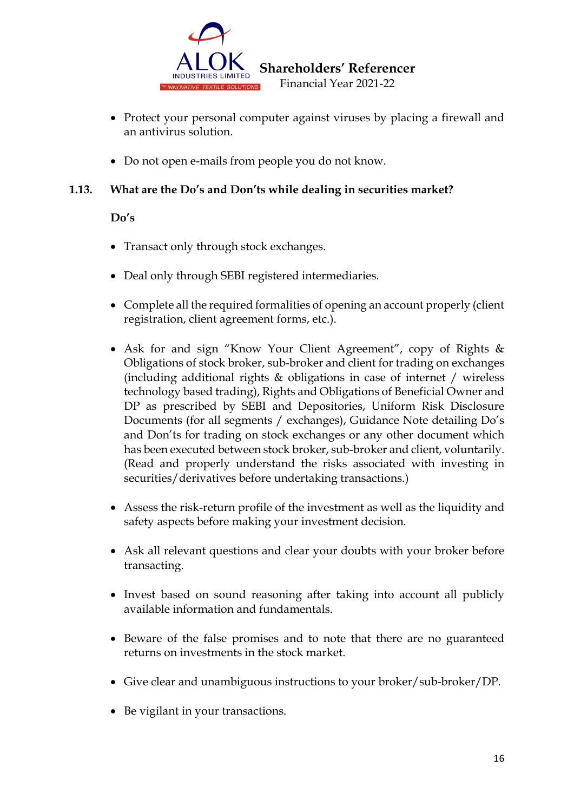

- Protect your personal computer against viruses by placing a firewall and an antivirus solution.
- Do not open e-mails from people you do not know.

# **1.13. What are the Do's and Don'ts while dealing in securities market?**

## **Do's**

- Transact only through stock exchanges.
- Deal only through SEBI registered intermediaries.
- Complete all the required formalities of opening an account properly (client registration, client agreement forms, etc.).
- Ask for and sign "Know Your Client Agreement", copy of Rights & Obligations of stock broker, sub-broker and client for trading on exchanges (including additional rights & obligations in case of internet / wireless technology based trading), Rights and Obligations of Beneficial Owner and DP as prescribed by SEBI and Depositories, Uniform Risk Disclosure Documents (for all segments / exchanges), Guidance Note detailing Do's and Don'ts for trading on stock exchanges or any other document which has been executed between stock broker, sub-broker and client, voluntarily. (Read and properly understand the risks associated with investing in securities/derivatives before undertaking transactions.)
- Assess the risk-return profile of the investment as well as the liquidity and safety aspects before making your investment decision.
- Ask all relevant questions and clear your doubts with your broker before transacting.
- Invest based on sound reasoning after taking into account all publicly available information and fundamentals.
- Beware of the false promises and to note that there are no guaranteed returns on investments in the stock market.
- Give clear and unambiguous instructions to your broker/sub-broker/DP.
- Be vigilant in your transactions.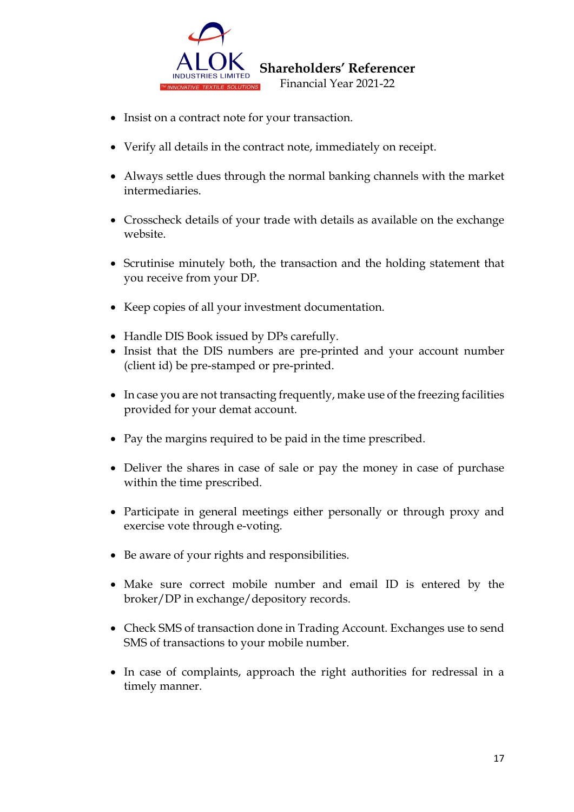

- Insist on a contract note for your transaction.
- Verify all details in the contract note, immediately on receipt.
- Always settle dues through the normal banking channels with the market intermediaries.
- Crosscheck details of your trade with details as available on the exchange website.
- Scrutinise minutely both, the transaction and the holding statement that you receive from your DP.
- Keep copies of all your investment documentation.
- Handle DIS Book issued by DPs carefully.
- Insist that the DIS numbers are pre-printed and your account number (client id) be pre-stamped or pre-printed.
- In case you are not transacting frequently, make use of the freezing facilities provided for your demat account.
- Pay the margins required to be paid in the time prescribed.
- Deliver the shares in case of sale or pay the money in case of purchase within the time prescribed.
- Participate in general meetings either personally or through proxy and exercise vote through e-voting.
- Be aware of your rights and responsibilities.
- Make sure correct mobile number and email ID is entered by the broker/DP in exchange/depository records.
- Check SMS of transaction done in Trading Account. Exchanges use to send SMS of transactions to your mobile number.
- In case of complaints, approach the right authorities for redressal in a timely manner.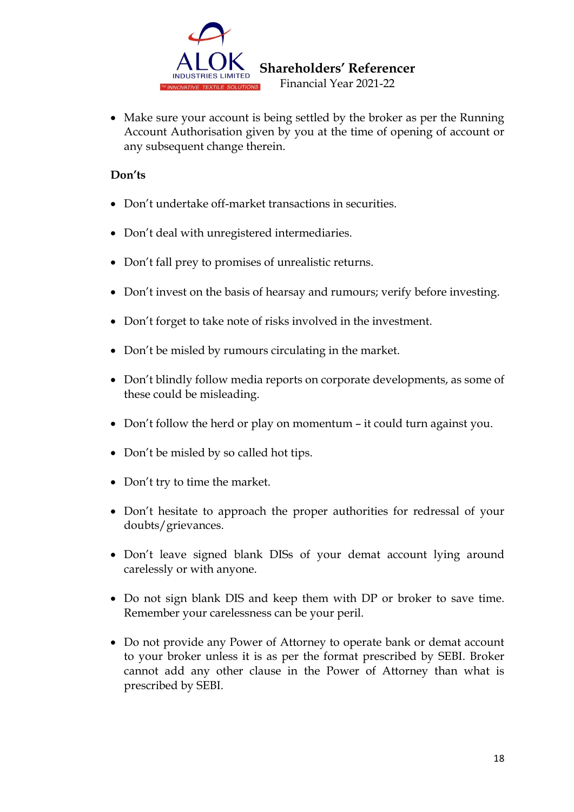

• Make sure your account is being settled by the broker as per the Running Account Authorisation given by you at the time of opening of account or any subsequent change therein.

## **Don'ts**

- Don't undertake off-market transactions in securities.
- Don't deal with unregistered intermediaries.
- Don't fall prey to promises of unrealistic returns.
- Don't invest on the basis of hearsay and rumours; verify before investing.
- Don't forget to take note of risks involved in the investment.
- Don't be misled by rumours circulating in the market.
- Don't blindly follow media reports on corporate developments, as some of these could be misleading.
- Don't follow the herd or play on momentum it could turn against you.
- Don't be misled by so called hot tips.
- Don't try to time the market.
- Don't hesitate to approach the proper authorities for redressal of your doubts/grievances.
- Don't leave signed blank DISs of your demat account lying around carelessly or with anyone.
- Do not sign blank DIS and keep them with DP or broker to save time. Remember your carelessness can be your peril.
- Do not provide any Power of Attorney to operate bank or demat account to your broker unless it is as per the format prescribed by SEBI. Broker cannot add any other clause in the Power of Attorney than what is prescribed by SEBI.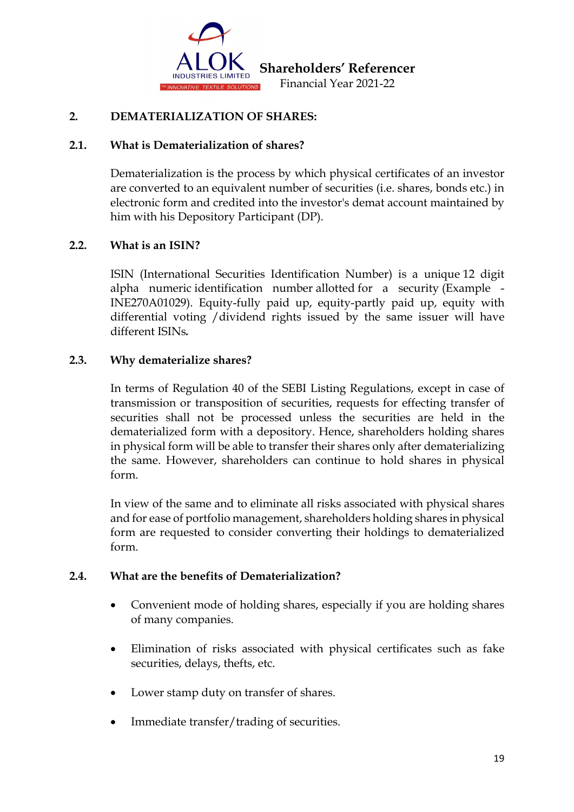

## **2. DEMATERIALIZATION OF SHARES:**

#### **2.1. What is Dematerialization of shares?**

Dematerialization is the process by which physical certificates of an investor are converted to an equivalent number of securities (i.e. shares, bonds etc.) in electronic form and credited into the investor's demat account maintained by him with his Depository Participant (DP).

## **2.2. What is an ISIN?**

ISIN (International Securities Identification Number) is a unique 12 digit alpha numeric identification number allotted for a security (Example - INE270A01029). Equity-fully paid up, equity-partly paid up, equity with differential voting /dividend rights issued by the same issuer will have different ISINs*.*

#### **2.3. Why dematerialize shares?**

In terms of Regulation 40 of the SEBI Listing Regulations, except in case of transmission or transposition of securities, requests for effecting transfer of securities shall not be processed unless the securities are held in the dematerialized form with a depository. Hence, shareholders holding shares in physical form will be able to transfer their shares only after dematerializing the same. However, shareholders can continue to hold shares in physical form.

In view of the same and to eliminate all risks associated with physical shares and for ease of portfolio management, shareholders holding shares in physical form are requested to consider converting their holdings to dematerialized form.

#### **2.4. What are the benefits of Dematerialization?**

- Convenient mode of holding shares, especially if you are holding shares of many companies.
- Elimination of risks associated with physical certificates such as fake securities, delays, thefts, etc.
- Lower stamp duty on transfer of shares.
- Immediate transfer/trading of securities.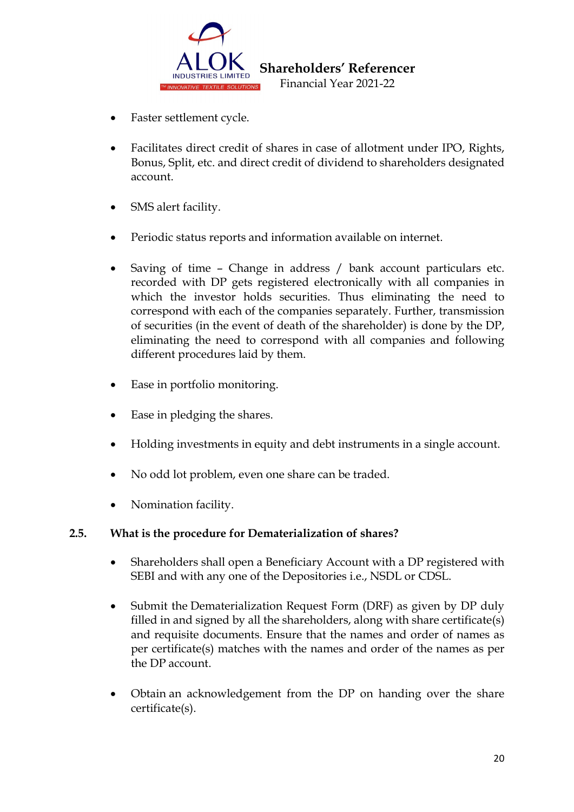

- Faster settlement cycle.
- Facilitates direct credit of shares in case of allotment under IPO, Rights, Bonus, Split, etc. and direct credit of dividend to shareholders designated account.
- SMS alert facility.
- Periodic status reports and information available on internet.
- Saving of time Change in address / bank account particulars etc. recorded with DP gets registered electronically with all companies in which the investor holds securities. Thus eliminating the need to correspond with each of the companies separately. Further, transmission of securities (in the event of death of the shareholder) is done by the DP, eliminating the need to correspond with all companies and following different procedures laid by them.
- Ease in portfolio monitoring.
- Ease in pledging the shares.
- Holding investments in equity and debt instruments in a single account.
- No odd lot problem, even one share can be traded.
- Nomination facility.

# **2.5. What is the procedure for Dematerialization of shares?**

- Shareholders shall open a Beneficiary Account with a DP registered with SEBI and with any one of the Depositories i.e., NSDL or CDSL.
- Submit the Dematerialization Request Form (DRF) as given by DP duly filled in and signed by all the shareholders, along with share certificate(s) and requisite documents. Ensure that the names and order of names as per certificate(s) matches with the names and order of the names as per the DP account.
- Obtain an acknowledgement from the DP on handing over the share certificate(s).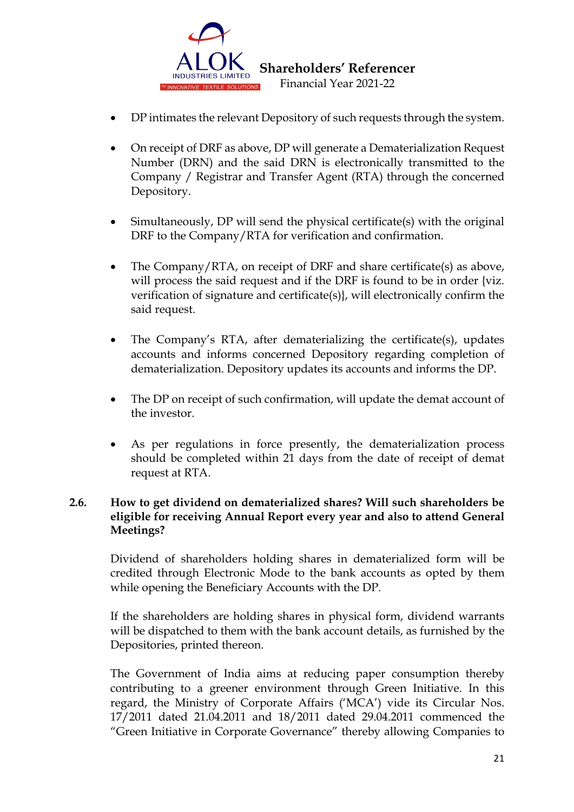

- DP intimates the relevant Depository of such requests through the system.
- On receipt of DRF as above, DP will generate a Dematerialization Request Number (DRN) and the said DRN is electronically transmitted to the Company / Registrar and Transfer Agent (RTA) through the concerned Depository.
- Simultaneously, DP will send the physical certificate(s) with the original DRF to the Company/RTA for verification and confirmation.
- The Company/RTA, on receipt of DRF and share certificate(s) as above, will process the said request and if the DRF is found to be in order {viz. verification of signature and certificate(s)}, will electronically confirm the said request.
- The Company's RTA, after dematerializing the certificate(s), updates accounts and informs concerned Depository regarding completion of dematerialization. Depository updates its accounts and informs the DP.
- The DP on receipt of such confirmation, will update the demat account of the investor.
- As per regulations in force presently, the dematerialization process should be completed within 21 days from the date of receipt of demat request at RTA.

## **2.6. How to get dividend on dematerialized shares? Will such shareholders be eligible for receiving Annual Report every year and also to attend General Meetings?**

Dividend of shareholders holding shares in dematerialized form will be credited through Electronic Mode to the bank accounts as opted by them while opening the Beneficiary Accounts with the DP.

If the shareholders are holding shares in physical form, dividend warrants will be dispatched to them with the bank account details, as furnished by the Depositories, printed thereon.

The Government of India aims at reducing paper consumption thereby contributing to a greener environment through Green Initiative. In this regard, the Ministry of Corporate Affairs ('MCA') vide its Circular Nos. 17/2011 dated 21.04.2011 and 18/2011 dated 29.04.2011 commenced the "Green Initiative in Corporate Governance" thereby allowing Companies to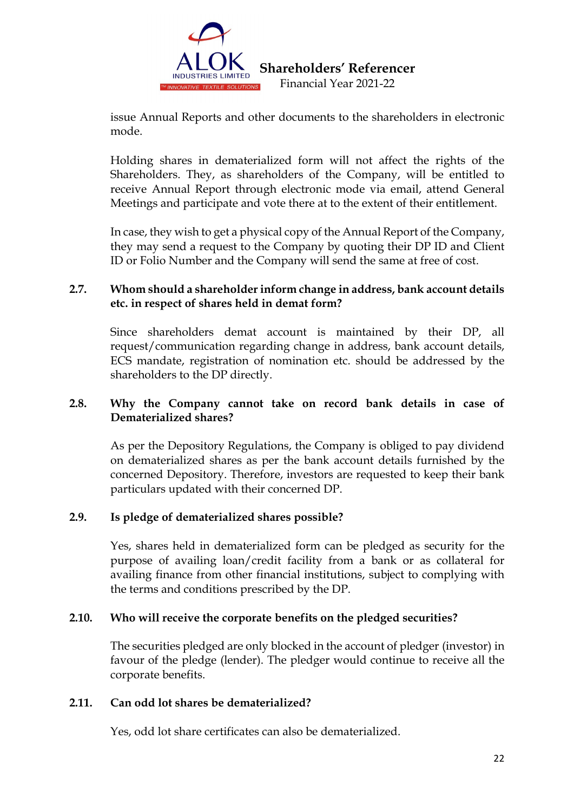

issue Annual Reports and other documents to the shareholders in electronic mode.

Holding shares in dematerialized form will not affect the rights of the Shareholders. They, as shareholders of the Company, will be entitled to receive Annual Report through electronic mode via email, attend General Meetings and participate and vote there at to the extent of their entitlement.

In case, they wish to get a physical copy of the Annual Report of the Company, they may send a request to the Company by quoting their DP ID and Client ID or Folio Number and the Company will send the same at free of cost.

# **2.7. Whom should a shareholder inform change in address, bank account details etc. in respect of shares held in demat form?**

Since shareholders demat account is maintained by their DP, all request/communication regarding change in address, bank account details, ECS mandate, registration of nomination etc. should be addressed by the shareholders to the DP directly.

# **2.8. Why the Company cannot take on record bank details in case of Dematerialized shares?**

As per the Depository Regulations, the Company is obliged to pay dividend on dematerialized shares as per the bank account details furnished by the concerned Depository. Therefore, investors are requested to keep their bank particulars updated with their concerned DP.

# **2.9. Is pledge of dematerialized shares possible?**

Yes, shares held in dematerialized form can be pledged as security for the purpose of availing loan/credit facility from a bank or as collateral for availing finance from other financial institutions, subject to complying with the terms and conditions prescribed by the DP.

# **2.10. Who will receive the corporate benefits on the pledged securities?**

The securities pledged are only blocked in the account of pledger (investor) in favour of the pledge (lender). The pledger would continue to receive all the corporate benefits.

# **2.11. Can odd lot shares be dematerialized?**

Yes, odd lot share certificates can also be dematerialized.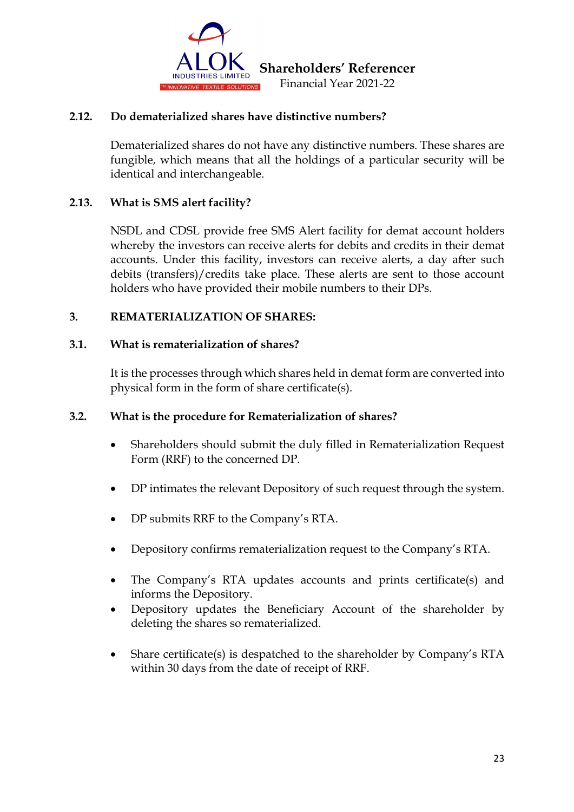

## **2.12. Do dematerialized shares have distinctive numbers?**

Dematerialized shares do not have any distinctive numbers. These shares are fungible, which means that all the holdings of a particular security will be identical and interchangeable.

## **2.13. What is SMS alert facility?**

NSDL and CDSL provide free SMS Alert facility for demat account holders whereby the investors can receive alerts for debits and credits in their demat accounts. Under this facility, investors can receive alerts, a day after such debits (transfers)/credits take place. These alerts are sent to those account holders who have provided their mobile numbers to their DPs.

## **3. REMATERIALIZATION OF SHARES:**

## **3.1. What is rematerialization of shares?**

It is the processes through which shares held in demat form are converted into physical form in the form of share certificate(s).

## **3.2. What is the procedure for Rematerialization of shares?**

- Shareholders should submit the duly filled in Rematerialization Request Form (RRF) to the concerned DP.
- DP intimates the relevant Depository of such request through the system.
- DP submits RRF to the Company's RTA.
- Depository confirms rematerialization request to the Company's RTA.
- The Company's RTA updates accounts and prints certificate(s) and informs the Depository.
- Depository updates the Beneficiary Account of the shareholder by deleting the shares so rematerialized.
- Share certificate(s) is despatched to the shareholder by Company's RTA within 30 days from the date of receipt of RRF.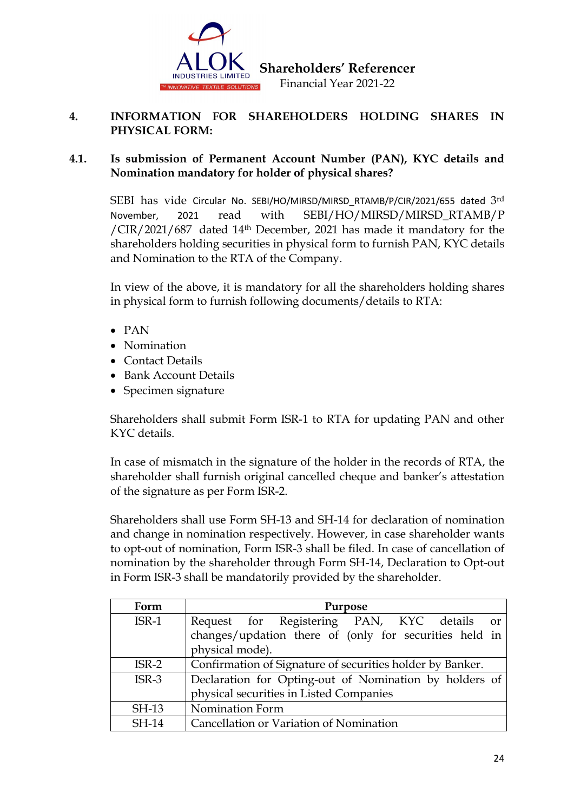

 **Shareholders' Referencer** 

Financial Year 2021-22

## **4. INFORMATION FOR SHAREHOLDERS HOLDING SHARES IN PHYSICAL FORM:**

## **4.1. Is submission of Permanent Account Number (PAN), KYC details and Nomination mandatory for holder of physical shares?**

SEBI has vide [Circular No. SEBI/HO/MIRSD/MIRSD\\_RTAMB/P/CIR/2021/655](https://www.sebi.gov.in/legal/circulars/nov-2021/common-and-simplified-norms-for-processing-investor-s-service-request-by-rtas-and-norms-for-furnishing-pan-kyc-details-and-nomination_53787.html) dated 3rd [November, 2021](https://www.sebi.gov.in/legal/circulars/nov-2021/common-and-simplified-norms-for-processing-investor-s-service-request-by-rtas-and-norms-for-furnishing-pan-kyc-details-and-nomination_53787.html) read with SEBI/HO/MIRSD/MIRSD\_RTAMB/P /CIR/2021/687 dated 14th December, 2021 has made it mandatory for the shareholders holding securities in physical form to furnish PAN, KYC details and Nomination to the RTA of the Company.

In view of the above, it is mandatory for all the shareholders holding shares in physical form to furnish following documents/details to RTA:

- PAN
- Nomination
- Contact Details
- Bank Account Details
- Specimen signature

Shareholders shall submit Form ISR-1 to RTA for updating PAN and other KYC details.

In case of mismatch in the signature of the holder in the records of RTA, the shareholder shall furnish original cancelled cheque and banker's attestation of the signature as per Form ISR-2.

Shareholders shall use Form SH-13 and SH-14 for declaration of nomination and change in nomination respectively. However, in case shareholder wants to opt-out of nomination, Form ISR-3 shall be filed. In case of cancellation of nomination by the shareholder through Form SH-14, Declaration to Opt-out in Form ISR-3 shall be mandatorily provided by the shareholder.

| Form         | Purpose                                                   |  |
|--------------|-----------------------------------------------------------|--|
| $ISR-1$      | Request for Registering PAN, KYC details<br><sub>or</sub> |  |
|              | changes/updation there of (only for securities held in    |  |
|              | physical mode).                                           |  |
| $ISR-2$      | Confirmation of Signature of securities holder by Banker. |  |
| $ISR-3$      | Declaration for Opting-out of Nomination by holders of    |  |
|              | physical securities in Listed Companies                   |  |
| <b>SH-13</b> | Nomination Form                                           |  |
| <b>SH-14</b> | Cancellation or Variation of Nomination                   |  |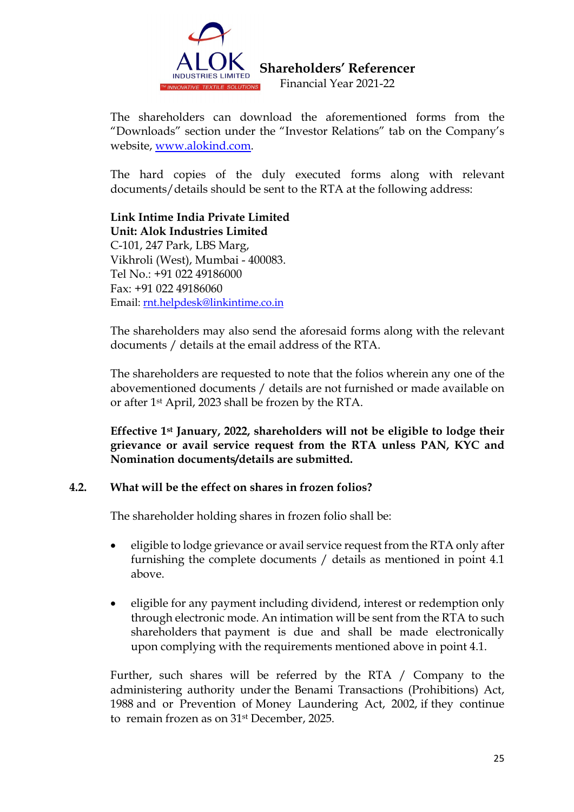

The shareholders can download the aforementioned forms from the "Downloads" section under the "Investor Relations" tab on the Company's website, [www.alokind.com.](http://www.alokind.com/)

The hard copies of the duly executed forms along with relevant documents/details should be sent to the RTA at the following address:

**Link Intime India Private Limited Unit: Alok Industries Limited** C-101, 247 Park, LBS Marg, Vikhroli (West), Mumbai - 400083. Tel No.: +91 022 49186000 Fax: +91 022 49186060 Email: [rnt.helpdesk@linkintime.co.in](mailto:rnt.helpdesk@linkintime.co.in)

The shareholders may also send the aforesaid forms along with the relevant documents / details at the email address of the RTA.

The shareholders are requested to note that the folios wherein any one of the abovementioned documents / details are not furnished or made available on or after 1st April, 2023 shall be frozen by the RTA.

**Effective 1st January, 2022, shareholders will not be eligible to lodge their grievance or avail service request from the RTA unless PAN, KYC and Nomination documents/details are submitted.**

## **4.2. What will be the effect on shares in frozen folios?**

The shareholder holding shares in frozen folio shall be:

- eligible to lodge grievance or avail service request from the RTA only after furnishing the complete documents / details as mentioned in point 4.1 above.
- eligible for any payment including dividend, interest or redemption only through electronic mode. An intimation will be sent from the RTA to such shareholders that payment is due and shall be made electronically upon complying with the requirements mentioned above in point 4.1.

Further, such shares will be referred by the RTA / Company to the administering authority under the Benami Transactions (Prohibitions) Act, 1988 and or Prevention of Money Laundering Act, 2002, if they continue to remain frozen as on 31st December, 2025.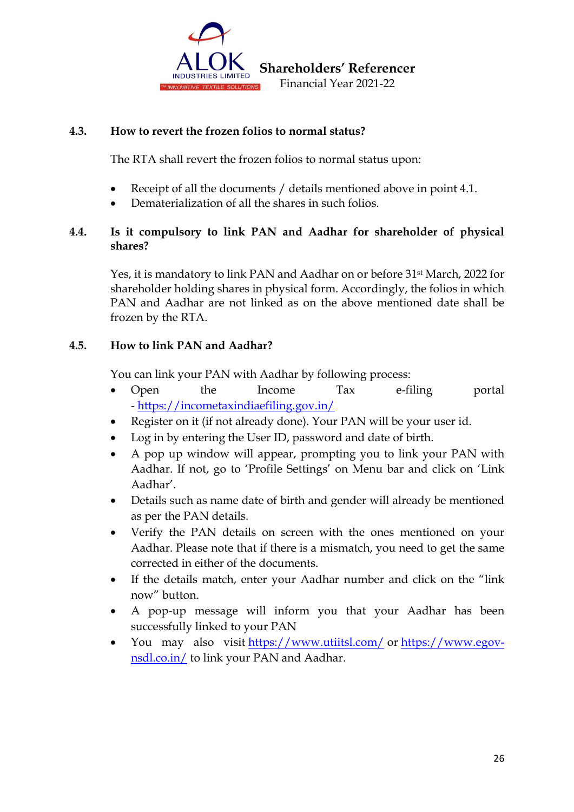

# **4.3. How to revert the frozen folios to normal status?**

The RTA shall revert the frozen folios to normal status upon:

- Receipt of all the documents / details mentioned above in point 4.1.
- Dematerialization of all the shares in such folios.

# **4.4. Is it compulsory to link PAN and Aadhar for shareholder of physical shares?**

Yes, it is mandatory to link PAN and Aadhar on or before 31st March, 2022 for shareholder holding shares in physical form. Accordingly, the folios in which PAN and Aadhar are not linked as on the above mentioned date shall be frozen by the RTA.

# **4.5. How to link PAN and Aadhar?**

You can link your PAN with Aadhar by following process:

- Open the Income Tax e-filing portal - <https://incometaxindiaefiling.gov.in/>
- Register on it (if not already done). Your PAN will be your user id.
- Log in by entering the User ID, password and date of birth.
- A pop up window will appear, prompting you to link your PAN with Aadhar. If not, go to 'Profile Settings' on Menu bar and click on 'Link Aadhar'.
- Details such as name date of birth and gender will already be mentioned as per the PAN details.
- Verify the PAN details on screen with the ones mentioned on your Aadhar. Please note that if there is a mismatch, you need to get the same corrected in either of the documents.
- If the details match, enter your Aadhar number and click on the "link now" button.
- A pop-up message will inform you that your Aadhar has been successfully linked to your PAN
- You may also visit <https://www.utiitsl.com/> or [https://www.egov](https://www.egov-nsdl.co.in/)[nsdl.co.in/](https://www.egov-nsdl.co.in/) to link your PAN and Aadhar.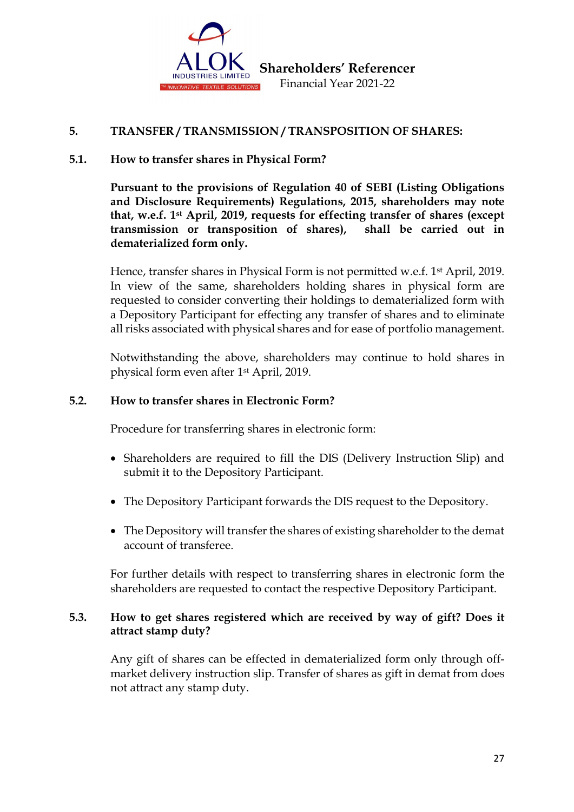

## **5. TRANSFER / TRANSMISSION / TRANSPOSITION OF SHARES:**

## **5.1. How to transfer shares in Physical Form?**

**Pursuant to the provisions of Regulation 40 of SEBI (Listing Obligations and Disclosure Requirements) Regulations, 2015, shareholders may note that, w.e.f. 1st April, 2019, requests for effecting transfer of shares (except transmission or transposition of shares), shall be carried out in dematerialized form only.**

Hence, transfer shares in Physical Form is not permitted w.e.f. 1<sup>st</sup> April, 2019. In view of the same, shareholders holding shares in physical form are requested to consider converting their holdings to dematerialized form with a Depository Participant for effecting any transfer of shares and to eliminate all risks associated with physical shares and for ease of portfolio management.

Notwithstanding the above, shareholders may continue to hold shares in physical form even after 1st April, 2019.

#### **5.2. How to transfer shares in Electronic Form?**

Procedure for transferring shares in electronic form:

- Shareholders are required to fill the DIS (Delivery Instruction Slip) and submit it to the Depository Participant.
- The Depository Participant forwards the DIS request to the Depository.
- The Depository will transfer the shares of existing shareholder to the demat account of transferee.

For further details with respect to transferring shares in electronic form the shareholders are requested to contact the respective Depository Participant.

## **5.3. How to get shares registered which are received by way of gift? Does it attract stamp duty?**

Any gift of shares can be effected in dematerialized form only through offmarket delivery instruction slip. Transfer of shares as gift in demat from does not attract any stamp duty.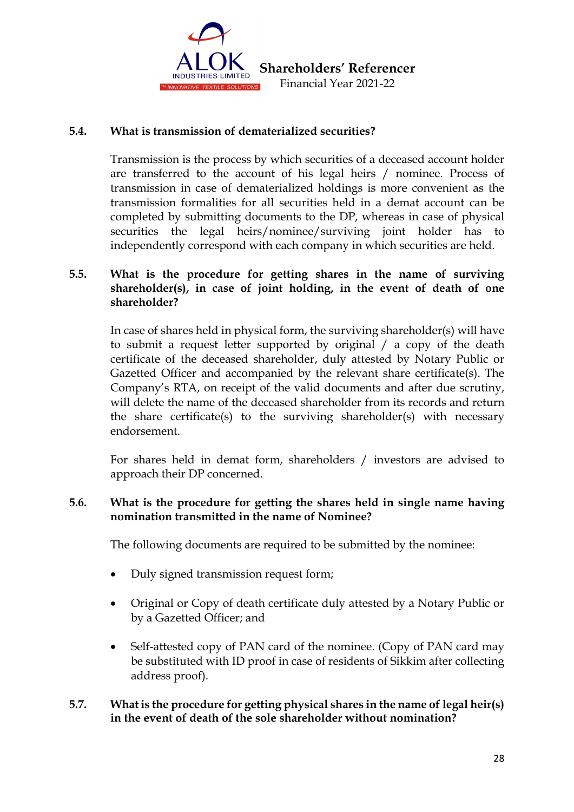

## **5.4. What is transmission of dematerialized securities?**

Transmission is the process by which securities of a deceased account holder are transferred to the account of his legal heirs / nominee. Process of transmission in case of dematerialized holdings is more convenient as the transmission formalities for all securities held in a demat account can be completed by submitting documents to the DP, whereas in case of physical securities the legal heirs/nominee/surviving joint holder has to independently correspond with each company in which securities are held.

## **5.5. What is the procedure for getting shares in the name of surviving shareholder(s), in case of joint holding, in the event of death of one shareholder?**

In case of shares held in physical form, the surviving shareholder(s) will have to submit a request letter supported by original / a copy of the death certificate of the deceased shareholder, duly attested by Notary Public or Gazetted Officer and accompanied by the relevant share certificate(s). The Company's RTA, on receipt of the valid documents and after due scrutiny, will delete the name of the deceased shareholder from its records and return the share certificate(s) to the surviving shareholder(s) with necessary endorsement.

For shares held in demat form, shareholders / investors are advised to approach their DP concerned.

## **5.6. What is the procedure for getting the shares held in single name having nomination transmitted in the name of Nominee?**

The following documents are required to be submitted by the nominee:

- Duly signed transmission request form;
- Original or Copy of death certificate duly attested by a Notary Public or by a Gazetted Officer; and
- Self-attested copy of PAN card of the nominee. (Copy of PAN card may be substituted with ID proof in case of residents of Sikkim after collecting address proof).

## **5.7. What is the procedure for getting physical shares in the name of legal heir(s) in the event of death of the sole shareholder without nomination?**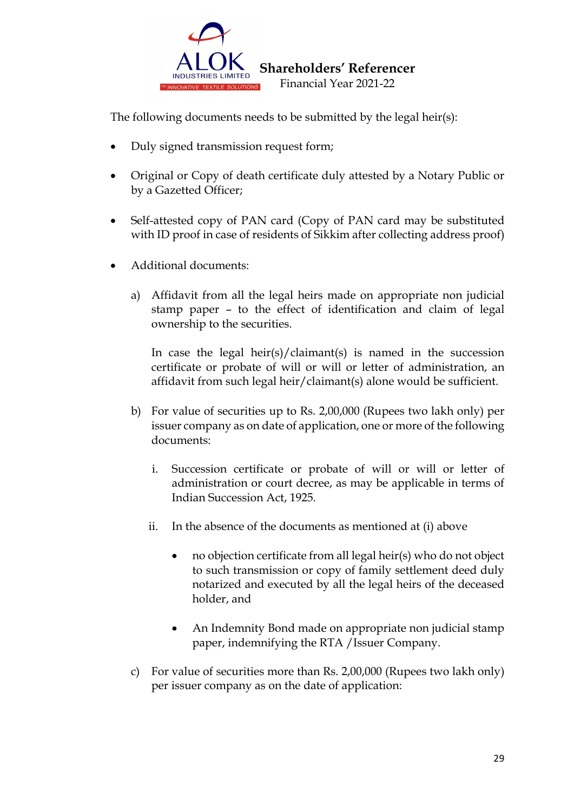

The following documents needs to be submitted by the legal heir(s):

- Duly signed transmission request form;
- Original or Copy of death certificate duly attested by a Notary Public or by a Gazetted Officer;
- Self-attested copy of PAN card (Copy of PAN card may be substituted with ID proof in case of residents of Sikkim after collecting address proof)
- Additional documents:
	- a) Affidavit from all the legal heirs made on appropriate non judicial stamp paper – to the effect of identification and claim of legal ownership to the securities.

In case the legal heir(s)/claimant(s) is named in the succession certificate or probate of will or will or letter of administration, an affidavit from such legal heir/claimant(s) alone would be sufficient.

- b) For value of securities up to Rs. 2,00,000 (Rupees two lakh only) per issuer company as on date of application, one or more of the following documents:
	- i. Succession certificate or probate of will or will or letter of administration or court decree, as may be applicable in terms of Indian Succession Act, 1925.
	- ii. In the absence of the documents as mentioned at (i) above
		- no objection certificate from all legal heir(s) who do not object to such transmission or copy of family settlement deed duly notarized and executed by all the legal heirs of the deceased holder, and
		- An Indemnity Bond made on appropriate non judicial stamp paper, indemnifying the RTA /Issuer Company.
- c) For value of securities more than Rs. 2,00,000 (Rupees two lakh only) per issuer company as on the date of application: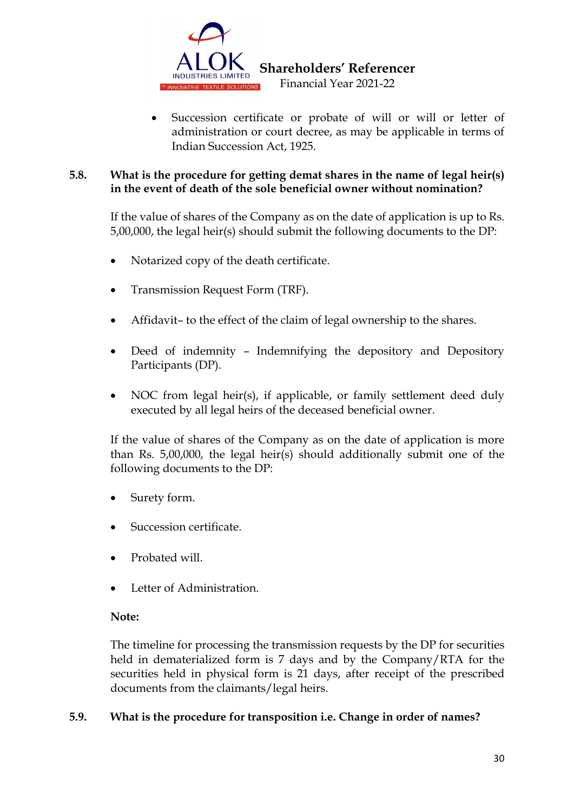

 **Shareholders' Referencer** 

Financial Year 2021-22

Succession certificate or probate of will or will or letter of administration or court decree, as may be applicable in terms of Indian Succession Act, 1925.

# **5.8. What is the procedure for getting demat shares in the name of legal heir(s) in the event of death of the sole beneficial owner without nomination?**

If the value of shares of the Company as on the date of application is up to Rs. 5,00,000, the legal heir(s) should submit the following documents to the DP:

- Notarized copy of the death certificate.
- Transmission Request Form (TRF).
- Affidavit– to the effect of the claim of legal ownership to the shares.
- Deed of indemnity Indemnifying the depository and Depository Participants (DP).
- NOC from legal heir(s), if applicable, or family settlement deed duly executed by all legal heirs of the deceased beneficial owner.

If the value of shares of the Company as on the date of application is more than Rs. 5,00,000, the legal heir(s) should additionally submit one of the following documents to the DP:

- Surety form.
- Succession certificate.
- Probated will.
- Letter of Administration.

# **Note:**

The timeline for processing the transmission requests by the DP for securities held in dematerialized form is 7 days and by the Company/RTA for the securities held in physical form is 21 days, after receipt of the prescribed documents from the claimants/legal heirs.

# **5.9. What is the procedure for transposition i.e. Change in order of names?**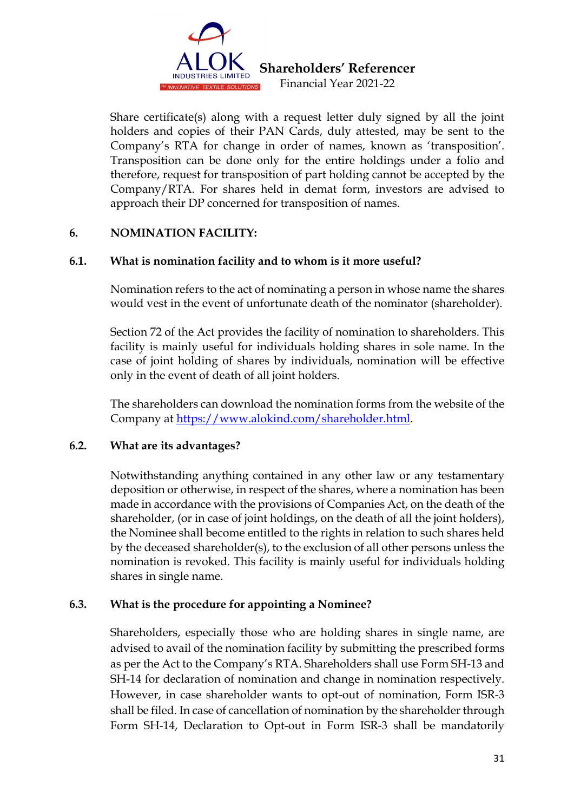

Share certificate(s) along with a request letter duly signed by all the joint holders and copies of their PAN Cards, duly attested, may be sent to the Company's RTA for change in order of names, known as 'transposition'. Transposition can be done only for the entire holdings under a folio and therefore, request for transposition of part holding cannot be accepted by the Company/RTA. For shares held in demat form, investors are advised to approach their DP concerned for transposition of names.

## **6. NOMINATION FACILITY:**

## **6.1. What is nomination facility and to whom is it more useful?**

Nomination refers to the act of nominating a person in whose name the shares would vest in the event of unfortunate death of the nominator (shareholder).

Section 72 of the Act provides the facility of nomination to shareholders. This facility is mainly useful for individuals holding shares in sole name. In the case of joint holding of shares by individuals, nomination will be effective only in the event of death of all joint holders.

The shareholders can download the nomination forms from the website of the Company at [https://www.alokind.com/shareholder.html.](https://www.alokind.com/shareholder.html)

## **6.2. What are its advantages?**

Notwithstanding anything contained in any other law or any testamentary deposition or otherwise, in respect of the shares, where a nomination has been made in accordance with the provisions of Companies Act, on the death of the shareholder, (or in case of joint holdings, on the death of all the joint holders), the Nominee shall become entitled to the rights in relation to such shares held by the deceased shareholder(s), to the exclusion of all other persons unless the nomination is revoked. This facility is mainly useful for individuals holding shares in single name.

# **6.3. What is the procedure for appointing a Nominee?**

Shareholders, especially those who are holding shares in single name, are advised to avail of the nomination facility by submitting the prescribed forms as per the Act to the Company's RTA. Shareholders shall use Form SH-13 and SH-14 for declaration of nomination and change in nomination respectively. However, in case shareholder wants to opt-out of nomination, Form ISR-3 shall be filed. In case of cancellation of nomination by the shareholder through Form SH-14, Declaration to Opt-out in Form ISR-3 shall be mandatorily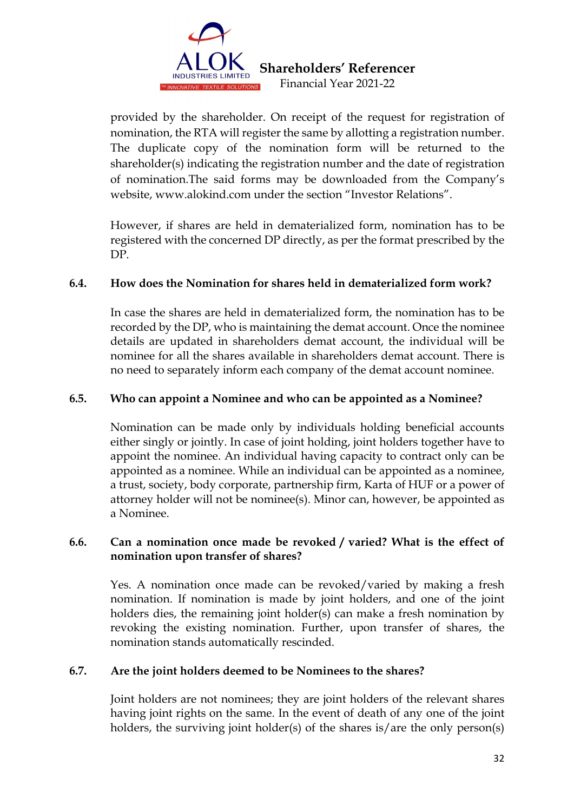

provided by the shareholder. On receipt of the request for registration of nomination, the RTA will register the same by allotting a registration number. The duplicate copy of the nomination form will be returned to the shareholder(s) indicating the registration number and the date of registration of nomination.The said forms may be downloaded from the Company's website, www.alokind.com under the section "Investor Relations".

However, if shares are held in dematerialized form, nomination has to be registered with the concerned DP directly, as per the format prescribed by the DP.

# **6.4. How does the Nomination for shares held in dematerialized form work?**

In case the shares are held in dematerialized form, the nomination has to be recorded by the DP, who is maintaining the demat account. Once the nominee details are updated in shareholders demat account, the individual will be nominee for all the shares available in shareholders demat account. There is no need to separately inform each company of the demat account nominee.

## **6.5. Who can appoint a Nominee and who can be appointed as a Nominee?**

Nomination can be made only by individuals holding beneficial accounts either singly or jointly. In case of joint holding, joint holders together have to appoint the nominee. An individual having capacity to contract only can be appointed as a nominee. While an individual can be appointed as a nominee, a trust, society, body corporate, partnership firm, Karta of HUF or a power of attorney holder will not be nominee(s). Minor can, however, be appointed as a Nominee.

## **6.6. Can a nomination once made be revoked / varied? What is the effect of nomination upon transfer of shares?**

Yes. A nomination once made can be revoked/varied by making a fresh nomination. If nomination is made by joint holders, and one of the joint holders dies, the remaining joint holder(s) can make a fresh nomination by revoking the existing nomination. Further, upon transfer of shares, the nomination stands automatically rescinded.

## **6.7. Are the joint holders deemed to be Nominees to the shares?**

Joint holders are not nominees; they are joint holders of the relevant shares having joint rights on the same. In the event of death of any one of the joint holders, the surviving joint holder(s) of the shares is/are the only person(s)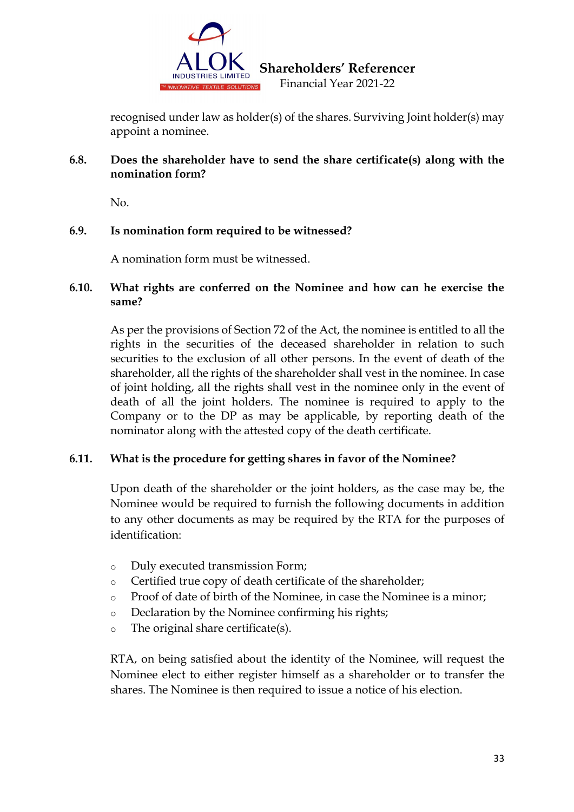

recognised under law as holder(s) of the shares. Surviving Joint holder(s) may appoint a nominee.

# **6.8. Does the shareholder have to send the share certificate(s) along with the nomination form?**

No.

# **6.9. Is nomination form required to be witnessed?**

A nomination form must be witnessed.

## **6.10. What rights are conferred on the Nominee and how can he exercise the same?**

As per the provisions of Section 72 of the Act, the nominee is entitled to all the rights in the securities of the deceased shareholder in relation to such securities to the exclusion of all other persons. In the event of death of the shareholder, all the rights of the shareholder shall vest in the nominee. In case of joint holding, all the rights shall vest in the nominee only in the event of death of all the joint holders. The nominee is required to apply to the Company or to the DP as may be applicable, by reporting death of the nominator along with the attested copy of the death certificate.

# **6.11. What is the procedure for getting shares in favor of the Nominee?**

Upon death of the shareholder or the joint holders, as the case may be, the Nominee would be required to furnish the following documents in addition to any other documents as may be required by the RTA for the purposes of identification:

- o Duly executed transmission Form;
- o Certified true copy of death certificate of the shareholder;
- o Proof of date of birth of the Nominee, in case the Nominee is a minor;
- o Declaration by the Nominee confirming his rights;
- o The original share certificate(s).

RTA, on being satisfied about the identity of the Nominee, will request the Nominee elect to either register himself as a shareholder or to transfer the shares. The Nominee is then required to issue a notice of his election.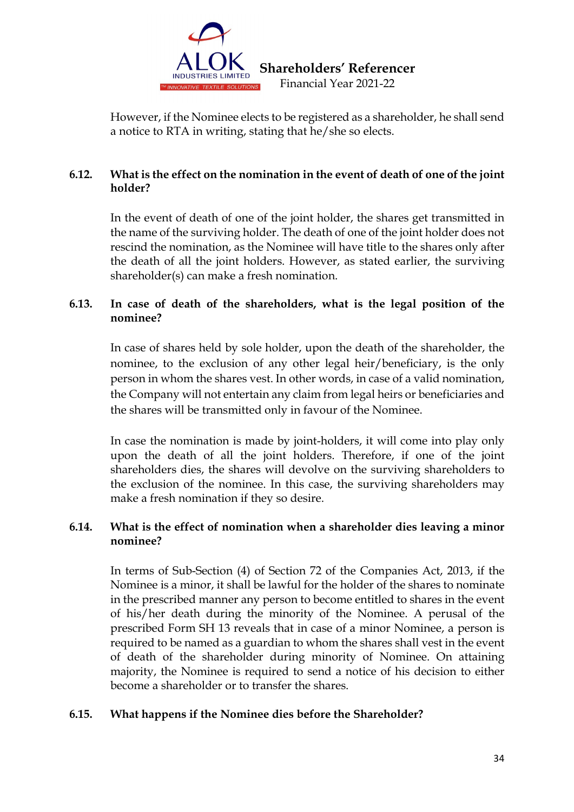

However, if the Nominee elects to be registered as a shareholder, he shall send a notice to RTA in writing, stating that he/she so elects.

# **6.12. What is the effect on the nomination in the event of death of one of the joint holder?**

In the event of death of one of the joint holder, the shares get transmitted in the name of the surviving holder. The death of one of the joint holder does not rescind the nomination, as the Nominee will have title to the shares only after the death of all the joint holders. However, as stated earlier, the surviving shareholder(s) can make a fresh nomination.

# **6.13. In case of death of the shareholders, what is the legal position of the nominee?**

In case of shares held by sole holder, upon the death of the shareholder, the nominee, to the exclusion of any other legal heir/beneficiary, is the only person in whom the shares vest. In other words, in case of a valid nomination, the Company will not entertain any claim from legal heirs or beneficiaries and the shares will be transmitted only in favour of the Nominee.

In case the nomination is made by joint-holders, it will come into play only upon the death of all the joint holders. Therefore, if one of the joint shareholders dies, the shares will devolve on the surviving shareholders to the exclusion of the nominee. In this case, the surviving shareholders may make a fresh nomination if they so desire.

## **6.14. What is the effect of nomination when a shareholder dies leaving a minor nominee?**

In terms of Sub-Section (4) of Section 72 of the Companies Act, 2013, if the Nominee is a minor, it shall be lawful for the holder of the shares to nominate in the prescribed manner any person to become entitled to shares in the event of his/her death during the minority of the Nominee. A perusal of the prescribed Form SH 13 reveals that in case of a minor Nominee, a person is required to be named as a guardian to whom the shares shall vest in the event of death of the shareholder during minority of Nominee. On attaining majority, the Nominee is required to send a notice of his decision to either become a shareholder or to transfer the shares.

# **6.15. What happens if the Nominee dies before the Shareholder?**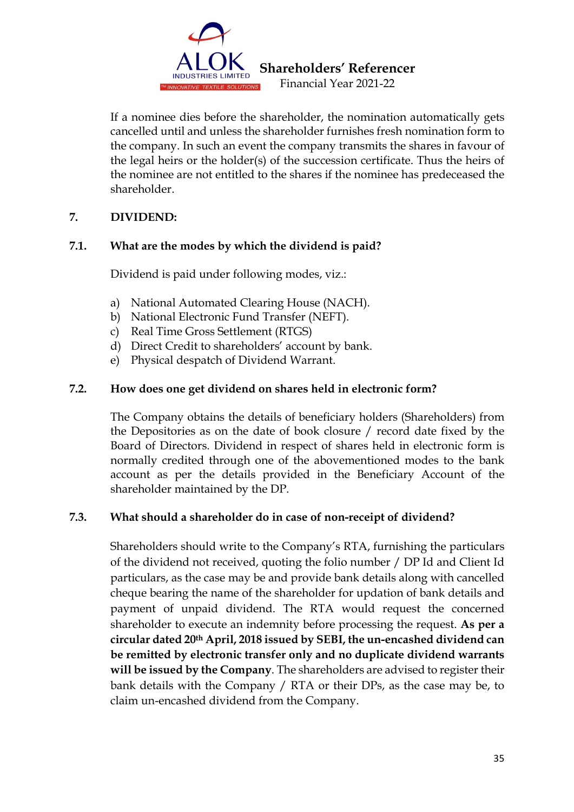

If a nominee dies before the shareholder, the nomination automatically gets cancelled until and unless the shareholder furnishes fresh nomination form to the company. In such an event the company transmits the shares in favour of the legal heirs or the holder(s) of the succession certificate. Thus the heirs of the nominee are not entitled to the shares if the nominee has predeceased the shareholder.

# **7. DIVIDEND:**

# **7.1. What are the modes by which the dividend is paid?**

Dividend is paid under following modes, viz.:

- a) National Automated Clearing House (NACH).
- b) National Electronic Fund Transfer (NEFT).
- c) Real Time Gross Settlement (RTGS)
- d) Direct Credit to shareholders' account by bank.
- e) Physical despatch of Dividend Warrant.

# **7.2. How does one get dividend on shares held in electronic form?**

The Company obtains the details of beneficiary holders (Shareholders) from the Depositories as on the date of book closure / record date fixed by the Board of Directors. Dividend in respect of shares held in electronic form is normally credited through one of the abovementioned modes to the bank account as per the details provided in the Beneficiary Account of the shareholder maintained by the DP.

# **7.3. What should a shareholder do in case of non-receipt of dividend?**

Shareholders should write to the Company's RTA, furnishing the particulars of the dividend not received, quoting the folio number / DP Id and Client Id particulars, as the case may be and provide bank details along with cancelled cheque bearing the name of the shareholder for updation of bank details and payment of unpaid dividend. The RTA would request the concerned shareholder to execute an indemnity before processing the request. **As per a circular dated 20th April, 2018 issued by SEBI, the un-encashed dividend can be remitted by electronic transfer only and no duplicate dividend warrants will be issued by the Company**. The shareholders are advised to register their bank details with the Company / RTA or their DPs, as the case may be, to claim un-encashed dividend from the Company.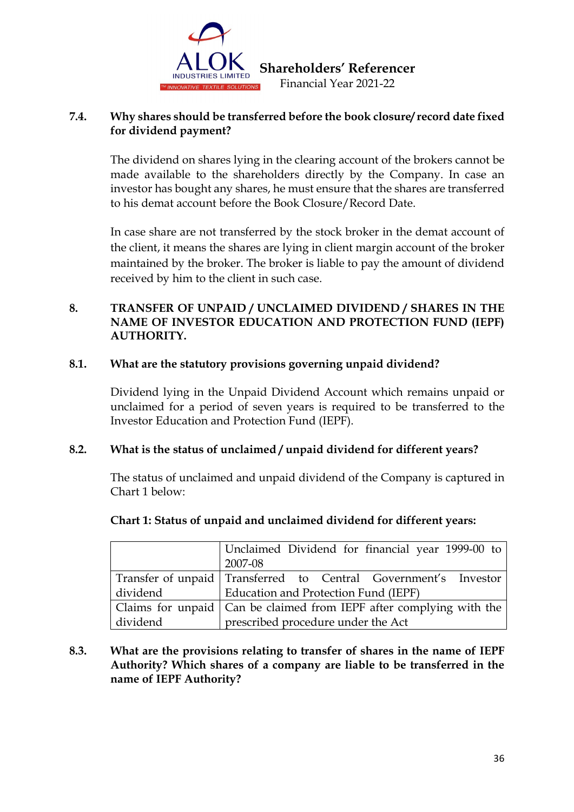

## **7.4. Why shares should be transferred before the book closure/ record date fixed for dividend payment?**

The dividend on shares lying in the clearing account of the brokers cannot be made available to the shareholders directly by the Company. In case an investor has bought any shares, he must ensure that the shares are transferred to his demat account before the Book Closure/Record Date.

In case share are not transferred by the stock broker in the demat account of the client, it means the shares are lying in client margin account of the broker maintained by the broker. The broker is liable to pay the amount of dividend received by him to the client in such case.

## **8. TRANSFER OF UNPAID / UNCLAIMED DIVIDEND / SHARES IN THE NAME OF INVESTOR EDUCATION AND PROTECTION FUND (IEPF) AUTHORITY.**

## **8.1. What are the statutory provisions governing unpaid dividend?**

Dividend lying in the Unpaid Dividend Account which remains unpaid or unclaimed for a period of seven years is required to be transferred to the Investor Education and Protection Fund (IEPF).

# **8.2. What is the status of unclaimed / unpaid dividend for different years?**

The status of unclaimed and unpaid dividend of the Company is captured in Chart 1 below:

|          | Unclaimed Dividend for financial year 1999-00 to<br>2007-08           |
|----------|-----------------------------------------------------------------------|
|          | Transfer of unpaid   Transferred to Central Government's Investor     |
| dividend | Education and Protection Fund (IEPF)                                  |
|          | Claims for unpaid   Can be claimed from IEPF after complying with the |
| dividend | prescribed procedure under the Act                                    |

# **Chart 1: Status of unpaid and unclaimed dividend for different years:**

# **8.3. What are the provisions relating to transfer of shares in the name of IEPF Authority? Which shares of a company are liable to be transferred in the name of IEPF Authority?**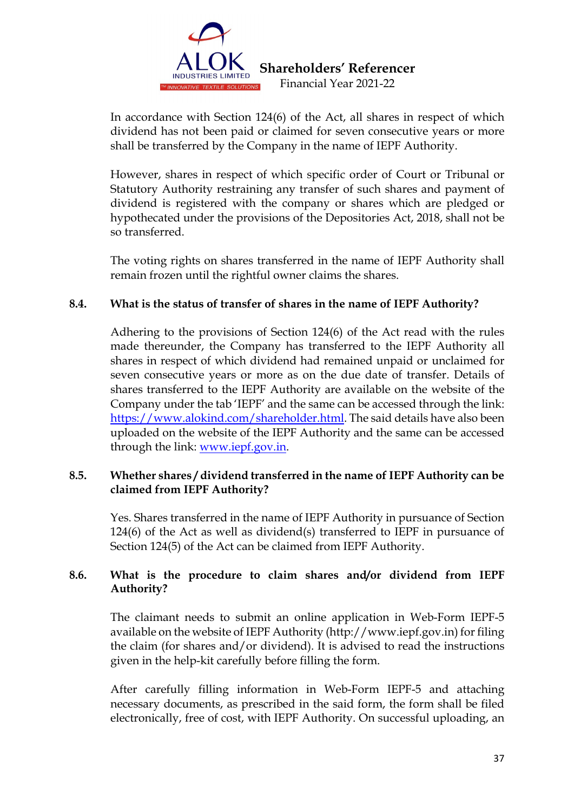

In accordance with Section 124(6) of the Act, all shares in respect of which dividend has not been paid or claimed for seven consecutive years or more shall be transferred by the Company in the name of IEPF Authority.

However, shares in respect of which specific order of Court or Tribunal or Statutory Authority restraining any transfer of such shares and payment of dividend is registered with the company or shares which are pledged or hypothecated under the provisions of the Depositories Act, 2018, shall not be so transferred.

The voting rights on shares transferred in the name of IEPF Authority shall remain frozen until the rightful owner claims the shares.

## **8.4. What is the status of transfer of shares in the name of IEPF Authority?**

Adhering to the provisions of Section 124(6) of the Act read with the rules made thereunder, the Company has transferred to the IEPF Authority all shares in respect of which dividend had remained unpaid or unclaimed for seven consecutive years or more as on the due date of transfer. Details of shares transferred to the IEPF Authority are available on the website of the Company under the tab 'IEPF' and the same can be accessed through the link: [https://www.alokind.com/shareholder.html.](https://www.alokind.com/shareholder.html) The said details have also been uploaded on the website of the IEPF Authority and the same can be accessed through the link: [www.iepf.gov.in.](http://www.iepf.gov.in/)

## **8.5. Whether shares / dividend transferred in the name of IEPF Authority can be claimed from IEPF Authority?**

Yes. Shares transferred in the name of IEPF Authority in pursuance of Section 124(6) of the Act as well as dividend(s) transferred to IEPF in pursuance of Section 124(5) of the Act can be claimed from IEPF Authority.

# **8.6. What is the procedure to claim shares and/or dividend from IEPF Authority?**

The claimant needs to submit an online application in Web-Form IEPF-5 available on the website of IEPF Authority (http://www.iepf.gov.in) for filing the claim (for shares and/or dividend). It is advised to read the instructions given in the help-kit carefully before filling the form.

After carefully filling information in Web-Form IEPF-5 and attaching necessary documents, as prescribed in the said form, the form shall be filed electronically, free of cost, with IEPF Authority. On successful uploading, an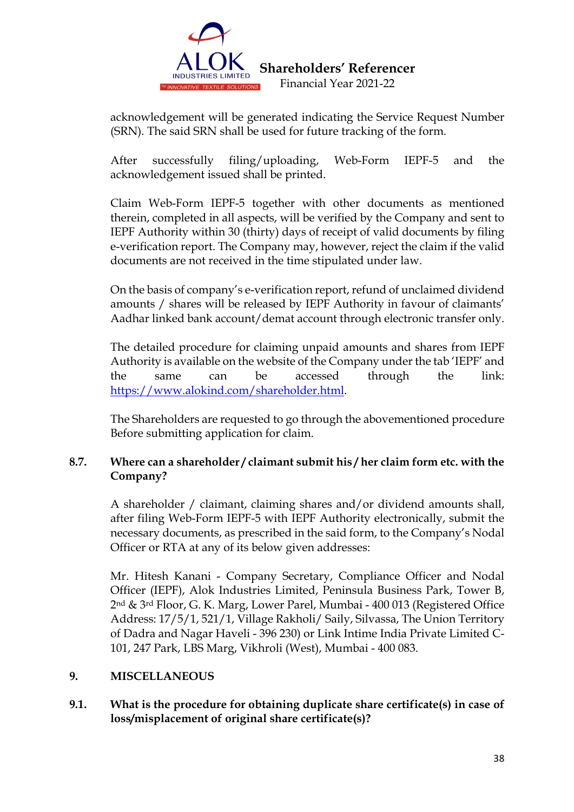

acknowledgement will be generated indicating the Service Request Number (SRN). The said SRN shall be used for future tracking of the form.

After successfully filing/uploading, Web-Form IEPF-5 and the acknowledgement issued shall be printed.

Claim Web-Form IEPF-5 together with other documents as mentioned therein, completed in all aspects, will be verified by the Company and sent to IEPF Authority within 30 (thirty) days of receipt of valid documents by filing e-verification report. The Company may, however, reject the claim if the valid documents are not received in the time stipulated under law.

On the basis of company's e-verification report, refund of unclaimed dividend amounts / shares will be released by IEPF Authority in favour of claimants' Aadhar linked bank account/demat account through electronic transfer only.

The detailed procedure for claiming unpaid amounts and shares from IEPF Authority is available on the website of the Company under the tab 'IEPF' and the same can be accessed through the link: [https://www.alokind.com/shareholder.html.](https://www.alokind.com/shareholder.html)

The Shareholders are requested to go through the abovementioned procedure Before submitting application for claim.

# **8.7. Where can a shareholder / claimant submit his / her claim form etc. with the Company?**

A shareholder / claimant, claiming shares and/or dividend amounts shall, after filing Web-Form IEPF-5 with IEPF Authority electronically, submit the necessary documents, as prescribed in the said form, to the Company's Nodal Officer or RTA at any of its below given addresses:

Mr. Hitesh Kanani - Company Secretary, Compliance Officer and Nodal Officer (IEPF), Alok Industries Limited, Peninsula Business Park, Tower B, 2nd & 3rd Floor, G. K. Marg, Lower Parel, Mumbai - 400 013 (Registered Office Address: 17/5/1, 521/1, Village Rakholi/ Saily, Silvassa, The Union Territory of Dadra and Nagar Haveli - 396 230) or Link Intime India Private Limited C-101, 247 Park, LBS Marg, Vikhroli (West), Mumbai - 400 083.

# **9. MISCELLANEOUS**

# **9.1. What is the procedure for obtaining duplicate share certificate(s) in case of loss/misplacement of original share certificate(s)?**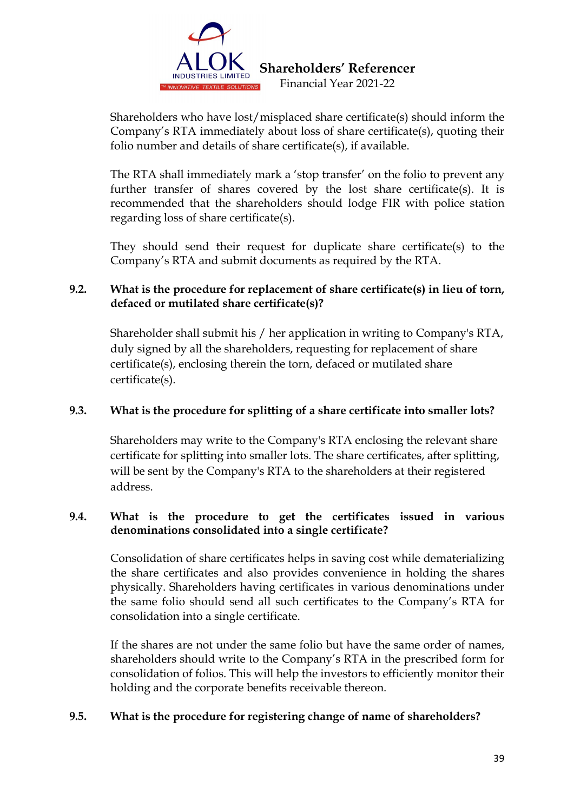

Shareholders who have lost/misplaced share certificate(s) should inform the Company's RTA immediately about loss of share certificate(s), quoting their folio number and details of share certificate(s), if available.

The RTA shall immediately mark a 'stop transfer' on the folio to prevent any further transfer of shares covered by the lost share certificate(s). It is recommended that the shareholders should lodge FIR with police station regarding loss of share certificate(s).

They should send their request for duplicate share certificate(s) to the Company's RTA and submit documents as required by the RTA.

# **9.2. What is the procedure for replacement of share certificate(s) in lieu of torn, defaced or mutilated share certificate(s)?**

Shareholder shall submit his / her application in writing to Company's RTA, duly signed by all the shareholders, requesting for replacement of share certificate(s), enclosing therein the torn, defaced or mutilated share certificate(s).

# **9.3. What is the procedure for splitting of a share certificate into smaller lots?**

Shareholders may write to the Company's RTA enclosing the relevant share certificate for splitting into smaller lots. The share certificates, after splitting, will be sent by the Company's RTA to the shareholders at their registered address.

# **9.4. What is the procedure to get the certificates issued in various denominations consolidated into a single certificate?**

Consolidation of share certificates helps in saving cost while dematerializing the share certificates and also provides convenience in holding the shares physically. Shareholders having certificates in various denominations under the same folio should send all such certificates to the Company's RTA for consolidation into a single certificate.

If the shares are not under the same folio but have the same order of names, shareholders should write to the Company's RTA in the prescribed form for consolidation of folios. This will help the investors to efficiently monitor their holding and the corporate benefits receivable thereon.

# **9.5. What is the procedure for registering change of name of shareholders?**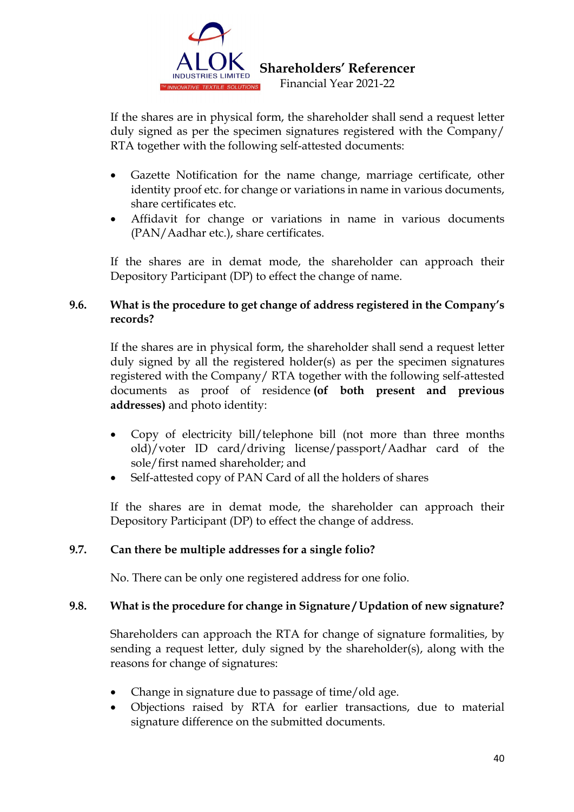

If the shares are in physical form, the shareholder shall send a request letter duly signed as per the specimen signatures registered with the Company/ RTA together with the following self-attested documents:

- Gazette Notification for the name change, marriage certificate, other identity proof etc. for change or variations in name in various documents, share certificates etc.
- Affidavit for change or variations in name in various documents (PAN/Aadhar etc.), share certificates.

If the shares are in demat mode, the shareholder can approach their Depository Participant (DP) to effect the change of name.

# **9.6. What is the procedure to get change of address registered in the Company's records?**

If the shares are in physical form, the shareholder shall send a request letter duly signed by all the registered holder(s) as per the specimen signatures registered with the Company/ RTA together with the following self-attested documents as proof of residence **(of both present and previous addresses)** and photo identity:

- Copy of electricity bill/telephone bill (not more than three months old)/voter ID card/driving license/passport/Aadhar card of the sole/first named shareholder; and
- Self-attested copy of PAN Card of all the holders of shares

If the shares are in demat mode, the shareholder can approach their Depository Participant (DP) to effect the change of address.

# **9.7. Can there be multiple addresses for a single folio?**

No. There can be only one registered address for one folio.

# **9.8. What is the procedure for change in Signature / Updation of new signature?**

Shareholders can approach the RTA for change of signature formalities, by sending a request letter, duly signed by the shareholder(s), along with the reasons for change of signatures:

- Change in signature due to passage of time/old age.
- Objections raised by RTA for earlier transactions, due to material signature difference on the submitted documents.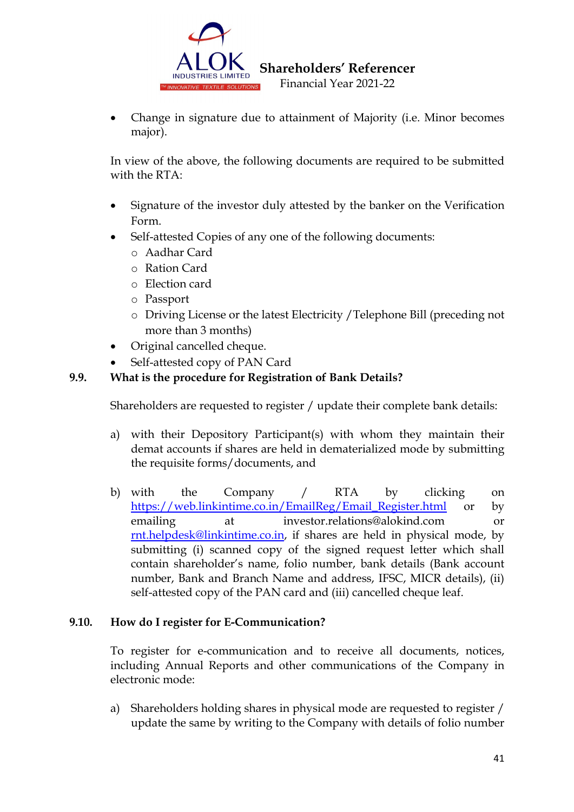

• Change in signature due to attainment of Majority (i.e. Minor becomes major).

In view of the above, the following documents are required to be submitted with the RTA:

- Signature of the investor duly attested by the banker on the Verification Form.
- Self-attested Copies of any one of the following documents:
	- o Aadhar Card
	- o Ration Card
	- o Election card
	- o Passport
	- o Driving License or the latest Electricity /Telephone Bill (preceding not more than 3 months)
- Original cancelled cheque.
- Self-attested copy of PAN Card

# **9.9. What is the procedure for Registration of Bank Details?**

Shareholders are requested to register / update their complete bank details:

- a) with their Depository Participant(s) with whom they maintain their demat accounts if shares are held in dematerialized mode by submitting the requisite forms/documents, and
- b) with the Company / RTA by clicking on [https://web.linkintime.co.in/EmailReg/Email\\_Register.html](https://web.linkintime.co.in/EmailReg/Email_Register.html) or by emailing at investor.relations@alokind.com or [rnt.helpdesk@linkintime.co.in,](mailto:rnt.helpdesk@linkintime.co.in) if shares are held in physical mode, by submitting (i) scanned copy of the signed request letter which shall contain shareholder's name, folio number, bank details (Bank account number, Bank and Branch Name and address, IFSC, MICR details), (ii) self-attested copy of the PAN card and (iii) cancelled cheque leaf.

## **9.10. How do I register for E-Communication?**

To register for e-communication and to receive all documents, notices, including Annual Reports and other communications of the Company in electronic mode:

a) Shareholders holding shares in physical mode are requested to register / update the same by writing to the Company with details of folio number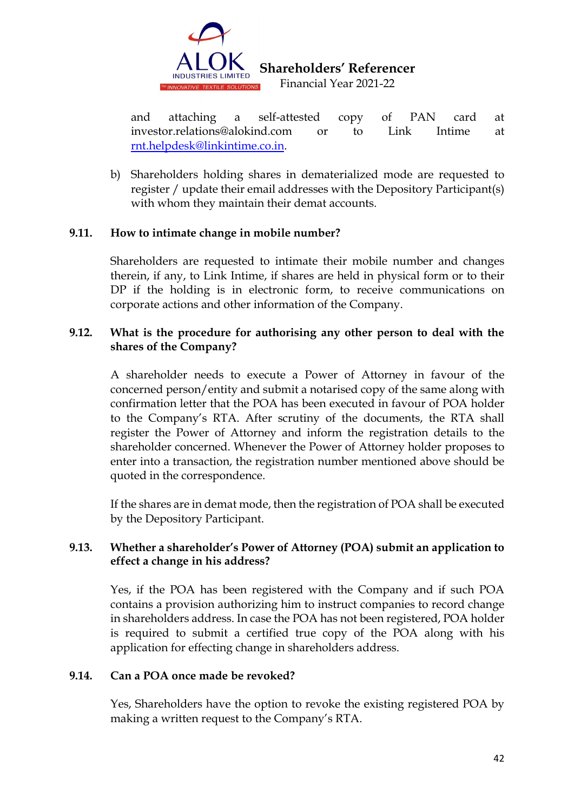

and attaching a self-attested copy of PAN card at investor.relations@alokind.com or to Link Intime at [rnt.helpdesk@linkintime.co.in.](mailto:rnt.helpdesk@linkintime.co.in)

b) Shareholders holding shares in dematerialized mode are requested to register / update their email addresses with the Depository Participant(s) with whom they maintain their demat accounts.

## **9.11. How to intimate change in mobile number?**

Shareholders are requested to intimate their mobile number and changes therein, if any, to Link Intime, if shares are held in physical form or to their DP if the holding is in electronic form, to receive communications on corporate actions and other information of the Company.

## **9.12. What is the procedure for authorising any other person to deal with the shares of the Company?**

A shareholder needs to execute a Power of Attorney in favour of the concerned person/entity and submit a notarised copy of the same along with confirmation letter that the POA has been executed in favour of POA holder to the Company's RTA. After scrutiny of the documents, the RTA shall register the Power of Attorney and inform the registration details to the shareholder concerned. Whenever the Power of Attorney holder proposes to enter into a transaction, the registration number mentioned above should be quoted in the correspondence.

If the shares are in demat mode, then the registration of POA shall be executed by the Depository Participant.

# **9.13. Whether a shareholder's Power of Attorney (POA) submit an application to effect a change in his address?**

Yes, if the POA has been registered with the Company and if such POA contains a provision authorizing him to instruct companies to record change in shareholders address. In case the POA has not been registered, POA holder is required to submit a certified true copy of the POA along with his application for effecting change in shareholders address.

## **9.14. Can a POA once made be revoked?**

Yes, Shareholders have the option to revoke the existing registered POA by making a written request to the Company's RTA.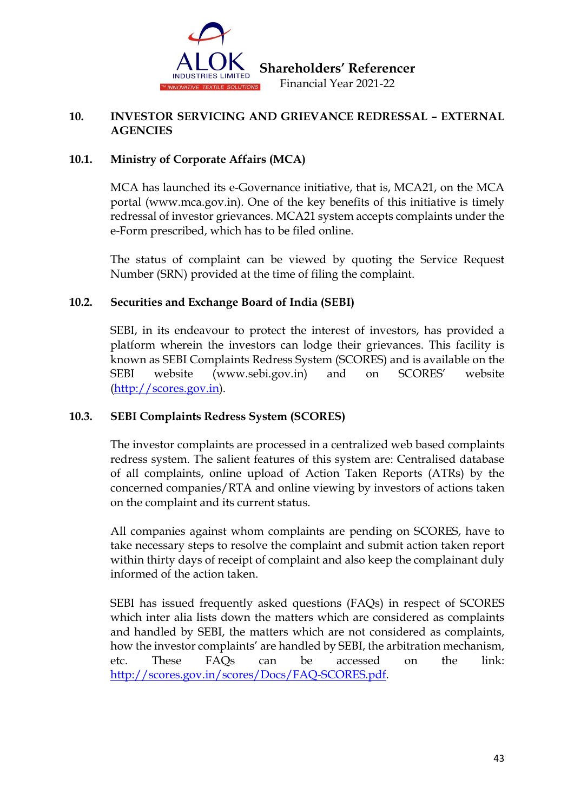

## **10. INVESTOR SERVICING AND GRIEVANCE REDRESSAL – EXTERNAL AGENCIES**

# **10.1. Ministry of Corporate Affairs (MCA)**

MCA has launched its e-Governance initiative, that is, MCA21, on the MCA portal (www.mca.gov.in). One of the key benefits of this initiative is timely redressal of investor grievances. MCA21 system accepts complaints under the e-Form prescribed, which has to be filed online.

The status of complaint can be viewed by quoting the Service Request Number (SRN) provided at the time of filing the complaint.

# **10.2. Securities and Exchange Board of India (SEBI)**

SEBI, in its endeavour to protect the interest of investors, has provided a platform wherein the investors can lodge their grievances. This facility is known as SEBI Complaints Redress System (SCORES) and is available on the SEBI website (www.sebi.gov.in) and on SCORES' website [\(http://scores.gov.in\)](http://scores.gov.in/).

# **10.3. SEBI Complaints Redress System (SCORES)**

The investor complaints are processed in a centralized web based complaints redress system. The salient features of this system are: Centralised database of all complaints, online upload of Action Taken Reports (ATRs) by the concerned companies/RTA and online viewing by investors of actions taken on the complaint and its current status.

All companies against whom complaints are pending on SCORES, have to take necessary steps to resolve the complaint and submit action taken report within thirty days of receipt of complaint and also keep the complainant duly informed of the action taken.

SEBI has issued frequently asked questions (FAQs) in respect of SCORES which inter alia lists down the matters which are considered as complaints and handled by SEBI, the matters which are not considered as complaints, how the investor complaints' are handled by SEBI, the arbitration mechanism, etc. These FAQs can be accessed on the link: [http://scores.gov.in/scores/Docs/FAQ-SCORES.pdf.](http://scores.gov.in/scores/Docs/FAQ-SCORES.pdf)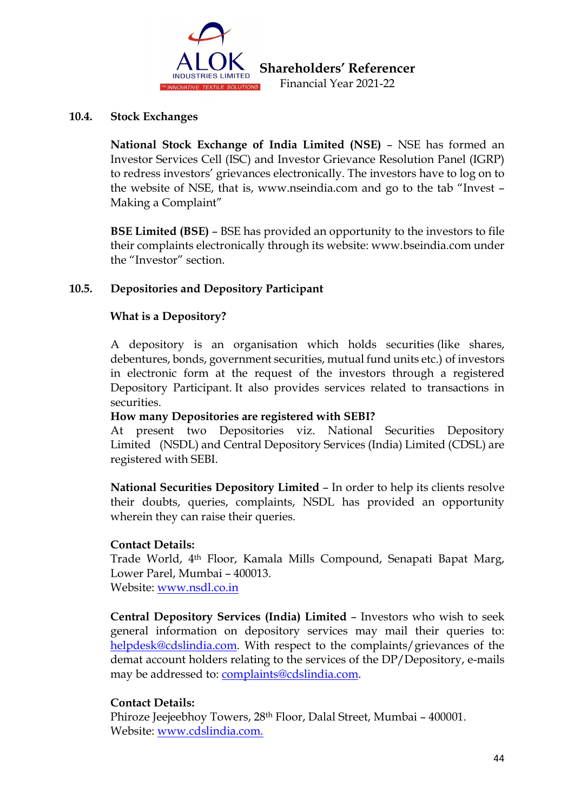

#### **10.4. Stock Exchanges**

**National Stock Exchange of India Limited (NSE)** – NSE has formed an Investor Services Cell (ISC) and Investor Grievance Resolution Panel (IGRP) to redress investors' grievances electronically. The investors have to log on to the website of NSE, that is, www.nseindia.com and go to the tab "Invest – Making a Complaint"

**BSE Limited (BSE)** – BSE has provided an opportunity to the investors to file their complaints electronically through its website: www.bseindia.com under the "Investor" section.

## **10.5. Depositories and Depository Participant**

## **What is a Depository?**

A depository is an organisation which holds securities (like shares, debentures, bonds, government securities, mutual fund units etc.) of investors in electronic form at the request of the investors through a registered Depository Participant. It also provides services related to transactions in securities.

## **How many Depositories are registered with SEBI?**

At present two Depositories viz. National Securities Depository Limited (NSDL) and Central Depository Services (India) Limited (CDSL) are registered with SEBI.

**National Securities Depository Limited** – In order to help its clients resolve their doubts, queries, complaints, NSDL has provided an opportunity wherein they can raise their queries.

## **Contact Details:**

Trade World, 4th Floor, Kamala Mills Compound, Senapati Bapat Marg, Lower Parel, Mumbai – 400013. Website: [www.nsdl.co.in](https://nsdl.co.in/)

**Central Depository Services (India) Limited** – Investors who wish to seek general information on depository services may mail their queries to: [helpdesk@cdslindia.com.](mailto:helpdesk@cdslindia.com) With respect to the complaints/grievances of the demat account holders relating to the services of the DP/Depository, e-mails may be addressed to: [complaints@cdslindia.com.](mailto:complaints@cdslindia.com)

## **Contact Details:**

Phiroze Jeejeebhoy Towers, 28th Floor, Dalal Street, Mumbai – 400001. Website: [www.cdslindia.com.](http://www.cdslindia.com/)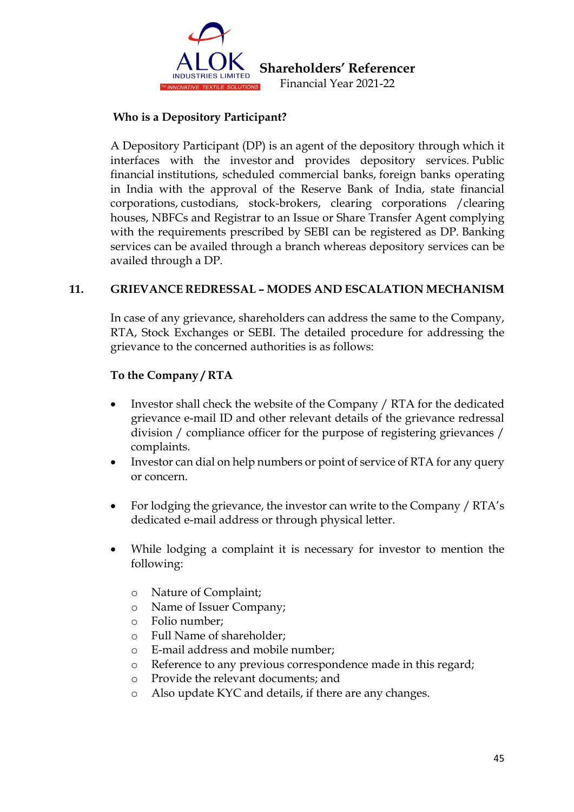

## **Who is a Depository Participant?**

A Depository Participant (DP) is an agent of the depository through which it interfaces with the investor and provides depository services. Public financial institutions, scheduled commercial banks, foreign banks operating in India with the approval of the Reserve Bank of India, state financial corporations, custodians, stock-brokers, clearing corporations /clearing houses, NBFCs and Registrar to an Issue or Share Transfer Agent complying with the requirements prescribed by SEBI can be registered as DP. Banking services can be availed through a branch whereas depository services can be availed through a DP.

## **11. GRIEVANCE REDRESSAL – MODES AND ESCALATION MECHANISM**

In case of any grievance, shareholders can address the same to the Company, RTA, Stock Exchanges or SEBI. The detailed procedure for addressing the grievance to the concerned authorities is as follows:

## **To the Company / RTA**

- Investor shall check the website of the Company / RTA for the dedicated grievance e-mail ID and other relevant details of the grievance redressal division / compliance officer for the purpose of registering grievances / complaints.
- Investor can dial on help numbers or point of service of RTA for any query or concern.
- For lodging the grievance, the investor can write to the Company / RTA's dedicated e-mail address or through physical letter.
- While lodging a complaint it is necessary for investor to mention the following:
	- o Nature of Complaint;
	- o Name of Issuer Company;
	- Folio number;
	- o Full Name of shareholder;
	- o E-mail address and mobile number;
	- o Reference to any previous correspondence made in this regard;
	- o Provide the relevant documents; and
	- o Also update KYC and details, if there are any changes.